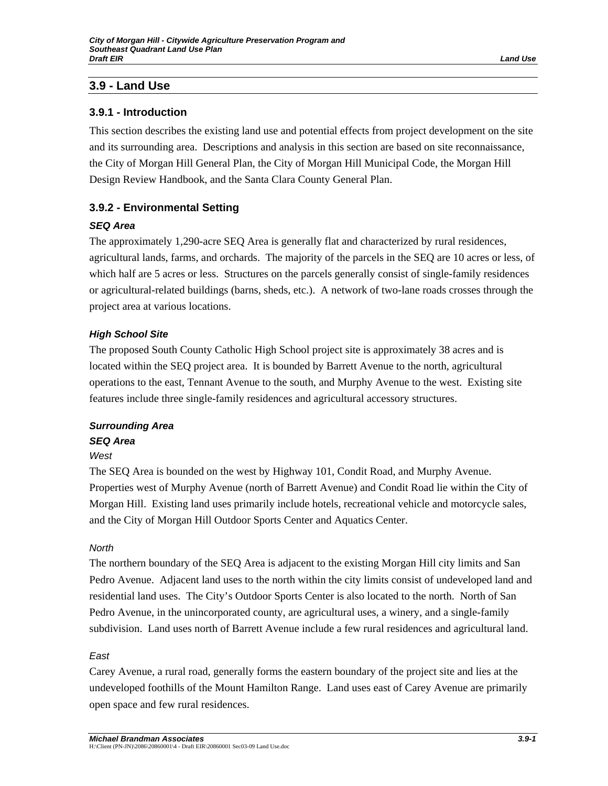# **3.9 - Land Use**

# **3.9.1 - Introduction**

This section describes the existing land use and potential effects from project development on the site and its surrounding area. Descriptions and analysis in this section are based on site reconnaissance, the City of Morgan Hill General Plan, the City of Morgan Hill Municipal Code, the Morgan Hill Design Review Handbook, and the Santa Clara County General Plan.

# **3.9.2 - Environmental Setting**

### *SEQ Area*

The approximately 1,290-acre SEQ Area is generally flat and characterized by rural residences, agricultural lands, farms, and orchards. The majority of the parcels in the SEQ are 10 acres or less, of which half are 5 acres or less. Structures on the parcels generally consist of single-family residences or agricultural-related buildings (barns, sheds, etc.). A network of two-lane roads crosses through the project area at various locations.

# *High School Site*

The proposed South County Catholic High School project site is approximately 38 acres and is located within the SEQ project area. It is bounded by Barrett Avenue to the north, agricultural operations to the east, Tennant Avenue to the south, and Murphy Avenue to the west. Existing site features include three single-family residences and agricultural accessory structures.

# *Surrounding Area*

# *SEQ Area*

#### *West*

The SEQ Area is bounded on the west by Highway 101, Condit Road, and Murphy Avenue. Properties west of Murphy Avenue (north of Barrett Avenue) and Condit Road lie within the City of Morgan Hill. Existing land uses primarily include hotels, recreational vehicle and motorcycle sales, and the City of Morgan Hill Outdoor Sports Center and Aquatics Center.

#### *North*

The northern boundary of the SEQ Area is adjacent to the existing Morgan Hill city limits and San Pedro Avenue. Adjacent land uses to the north within the city limits consist of undeveloped land and residential land uses. The City's Outdoor Sports Center is also located to the north. North of San Pedro Avenue, in the unincorporated county, are agricultural uses, a winery, and a single-family subdivision. Land uses north of Barrett Avenue include a few rural residences and agricultural land.

# *East*

Carey Avenue, a rural road, generally forms the eastern boundary of the project site and lies at the undeveloped foothills of the Mount Hamilton Range. Land uses east of Carey Avenue are primarily open space and few rural residences.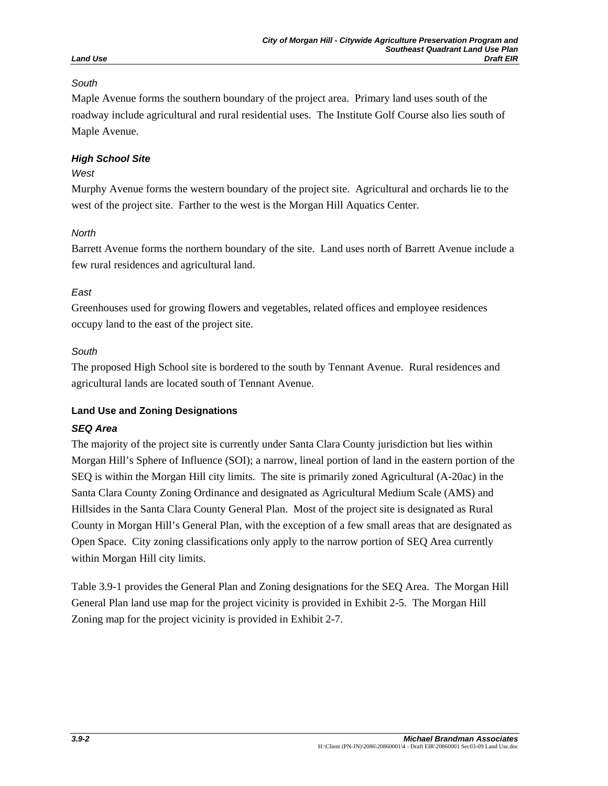# *South*

Maple Avenue forms the southern boundary of the project area. Primary land uses south of the roadway include agricultural and rural residential uses. The Institute Golf Course also lies south of Maple Avenue.

# *High School Site*

# *West*

Murphy Avenue forms the western boundary of the project site. Agricultural and orchards lie to the west of the project site. Farther to the west is the Morgan Hill Aquatics Center.

# *North*

Barrett Avenue forms the northern boundary of the site. Land uses north of Barrett Avenue include a few rural residences and agricultural land.

# *East*

Greenhouses used for growing flowers and vegetables, related offices and employee residences occupy land to the east of the project site.

# *South*

The proposed High School site is bordered to the south by Tennant Avenue. Rural residences and agricultural lands are located south of Tennant Avenue.

# **Land Use and Zoning Designations**

# *SEQ Area*

The majority of the project site is currently under Santa Clara County jurisdiction but lies within Morgan Hill's Sphere of Influence (SOI); a narrow, lineal portion of land in the eastern portion of the SEQ is within the Morgan Hill city limits. The site is primarily zoned Agricultural (A-20ac) in the Santa Clara County Zoning Ordinance and designated as Agricultural Medium Scale (AMS) and Hillsides in the Santa Clara County General Plan. Most of the project site is designated as Rural County in Morgan Hill's General Plan, with the exception of a few small areas that are designated as Open Space. City zoning classifications only apply to the narrow portion of SEQ Area currently within Morgan Hill city limits.

Table 3.9-1 provides the General Plan and Zoning designations for the SEQ Area. The Morgan Hill General Plan land use map for the project vicinity is provided in Exhibit 2-5. The Morgan Hill Zoning map for the project vicinity is provided in Exhibit 2-7.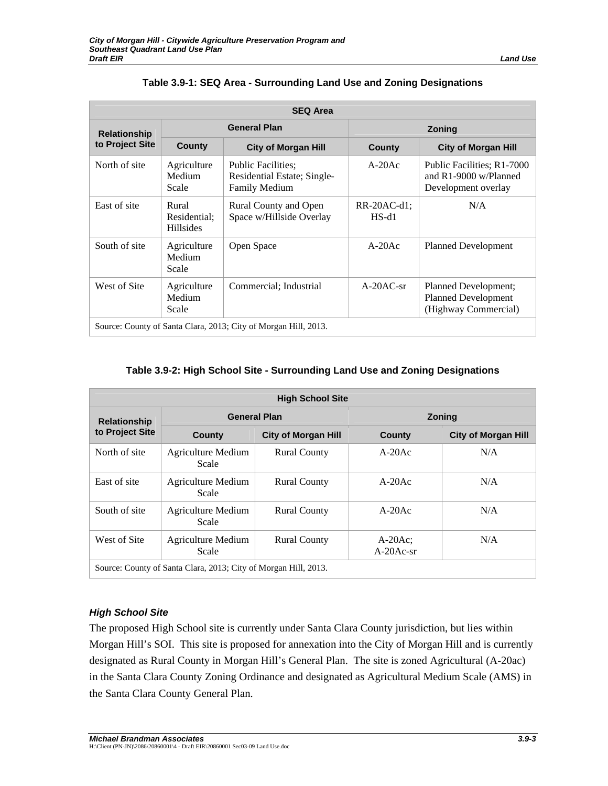| <b>SEQ Area</b>                                                 |                                           |                                                                                  |                        |                                                                            |
|-----------------------------------------------------------------|-------------------------------------------|----------------------------------------------------------------------------------|------------------------|----------------------------------------------------------------------------|
| <b>Relationship</b>                                             |                                           | <b>General Plan</b>                                                              | <b>Zoning</b>          |                                                                            |
| to Project Site                                                 | County                                    | <b>City of Morgan Hill</b>                                                       | County                 | <b>City of Morgan Hill</b>                                                 |
| North of site                                                   | Agriculture<br>Medium<br>Scale            | <b>Public Facilities:</b><br>Residential Estate; Single-<br><b>Family Medium</b> | $A-20Ac$               | Public Facilities; R1-7000<br>and R1-9000 w/Planned<br>Development overlay |
| East of site                                                    | Rural<br>Residential:<br><b>Hillsides</b> | Rural County and Open<br>Space w/Hillside Overlay                                | RR-20AC-d1;<br>$HS-d1$ | N/A                                                                        |
| South of site                                                   | Agriculture<br>Medium<br>Scale            | Open Space                                                                       | $A-20Ac$               | <b>Planned Development</b>                                                 |
| West of Site                                                    | Agriculture<br>Medium<br>Scale            | Commercial; Industrial                                                           | $A-20AC-sr$            | Planned Development;<br><b>Planned Development</b><br>(Highway Commercial) |
| Source: County of Santa Clara, 2013; City of Morgan Hill, 2013. |                                           |                                                                                  |                        |                                                                            |

# **Table 3.9-1: SEQ Area - Surrounding Land Use and Zoning Designations**

# **Table 3.9-2: High School Site - Surrounding Land Use and Zoning Designations**

| <b>High School Site</b>                                         |                                    |                            |                         |                            |  |
|-----------------------------------------------------------------|------------------------------------|----------------------------|-------------------------|----------------------------|--|
| <b>Relationship</b>                                             | <b>General Plan</b>                |                            | <b>Zoning</b>           |                            |  |
| to Project Site                                                 | County                             | <b>City of Morgan Hill</b> | County                  | <b>City of Morgan Hill</b> |  |
| North of site                                                   | Agriculture Medium<br>Scale        | <b>Rural County</b>        | $A-20Ac$                | N/A                        |  |
| East of site                                                    | <b>Agriculture Medium</b><br>Scale | <b>Rural County</b>        | $A-20Ac$                | N/A                        |  |
| South of site                                                   | Agriculture Medium<br>Scale        | <b>Rural County</b>        | $A-20Ac$                | N/A                        |  |
| West of Site                                                    | Agriculture Medium<br>Scale        | <b>Rural County</b>        | $A-20Ac$<br>$A-20Ac-sr$ | N/A                        |  |
| Source: County of Santa Clara, 2013; City of Morgan Hill, 2013. |                                    |                            |                         |                            |  |

# *High School Site*

The proposed High School site is currently under Santa Clara County jurisdiction, but lies within Morgan Hill's SOI. This site is proposed for annexation into the City of Morgan Hill and is currently designated as Rural County in Morgan Hill's General Plan. The site is zoned Agricultural (A-20ac) in the Santa Clara County Zoning Ordinance and designated as Agricultural Medium Scale (AMS) in the Santa Clara County General Plan.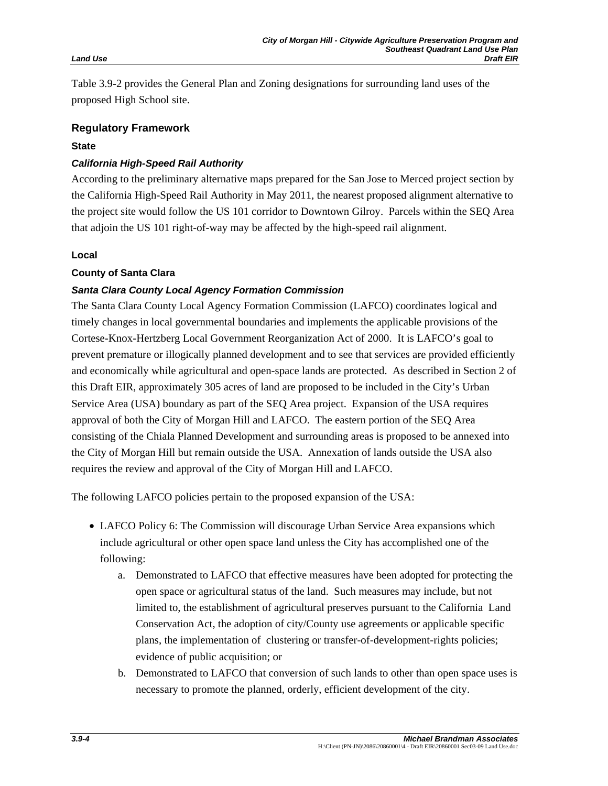Table 3.9-2 provides the General Plan and Zoning designations for surrounding land uses of the proposed High School site.

#### **Regulatory Framework**

### **State**

# *California High-Speed Rail Authority*

According to the preliminary alternative maps prepared for the San Jose to Merced project section by the California High-Speed Rail Authority in May 2011, the nearest proposed alignment alternative to the project site would follow the US 101 corridor to Downtown Gilroy. Parcels within the SEQ Area that adjoin the US 101 right-of-way may be affected by the high-speed rail alignment.

#### **Local**

# **County of Santa Clara**

# *Santa Clara County Local Agency Formation Commission*

The Santa Clara County Local Agency Formation Commission (LAFCO) coordinates logical and timely changes in local governmental boundaries and implements the applicable provisions of the Cortese-Knox-Hertzberg Local Government Reorganization Act of 2000. It is LAFCO's goal to prevent premature or illogically planned development and to see that services are provided efficiently and economically while agricultural and open-space lands are protected. As described in Section 2 of this Draft EIR, approximately 305 acres of land are proposed to be included in the City's Urban Service Area (USA) boundary as part of the SEQ Area project. Expansion of the USA requires approval of both the City of Morgan Hill and LAFCO. The eastern portion of the SEQ Area consisting of the Chiala Planned Development and surrounding areas is proposed to be annexed into the City of Morgan Hill but remain outside the USA. Annexation of lands outside the USA also requires the review and approval of the City of Morgan Hill and LAFCO.

The following LAFCO policies pertain to the proposed expansion of the USA:

- LAFCO Policy 6: The Commission will discourage Urban Service Area expansions which include agricultural or other open space land unless the City has accomplished one of the following:
	- a. Demonstrated to LAFCO that effective measures have been adopted for protecting the open space or agricultural status of the land. Such measures may include, but not limited to, the establishment of agricultural preserves pursuant to the California Land Conservation Act, the adoption of city/County use agreements or applicable specific plans, the implementation of clustering or transfer-of-development-rights policies; evidence of public acquisition; or
	- b. Demonstrated to LAFCO that conversion of such lands to other than open space uses is necessary to promote the planned, orderly, efficient development of the city.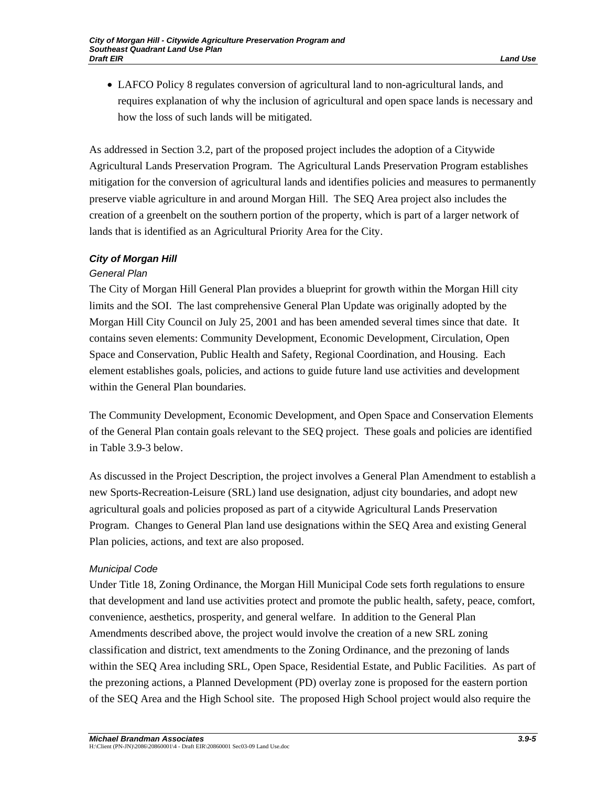• LAFCO Policy 8 regulates conversion of agricultural land to non-agricultural lands, and requires explanation of why the inclusion of agricultural and open space lands is necessary and how the loss of such lands will be mitigated.

As addressed in Section 3.2, part of the proposed project includes the adoption of a Citywide Agricultural Lands Preservation Program. The Agricultural Lands Preservation Program establishes mitigation for the conversion of agricultural lands and identifies policies and measures to permanently preserve viable agriculture in and around Morgan Hill. The SEQ Area project also includes the creation of a greenbelt on the southern portion of the property, which is part of a larger network of lands that is identified as an Agricultural Priority Area for the City.

# *City of Morgan Hill*

# *General Plan*

The City of Morgan Hill General Plan provides a blueprint for growth within the Morgan Hill city limits and the SOI. The last comprehensive General Plan Update was originally adopted by the Morgan Hill City Council on July 25, 2001 and has been amended several times since that date. It contains seven elements: Community Development, Economic Development, Circulation, Open Space and Conservation, Public Health and Safety, Regional Coordination, and Housing. Each element establishes goals, policies, and actions to guide future land use activities and development within the General Plan boundaries.

The Community Development, Economic Development, and Open Space and Conservation Elements of the General Plan contain goals relevant to the SEQ project. These goals and policies are identified in Table 3.9-3 below.

As discussed in the Project Description, the project involves a General Plan Amendment to establish a new Sports-Recreation-Leisure (SRL) land use designation, adjust city boundaries, and adopt new agricultural goals and policies proposed as part of a citywide Agricultural Lands Preservation Program. Changes to General Plan land use designations within the SEQ Area and existing General Plan policies, actions, and text are also proposed.

# *Municipal Code*

Under Title 18, Zoning Ordinance, the Morgan Hill Municipal Code sets forth regulations to ensure that development and land use activities protect and promote the public health, safety, peace, comfort, convenience, aesthetics, prosperity, and general welfare. In addition to the General Plan Amendments described above, the project would involve the creation of a new SRL zoning classification and district, text amendments to the Zoning Ordinance, and the prezoning of lands within the SEQ Area including SRL, Open Space, Residential Estate, and Public Facilities. As part of the prezoning actions, a Planned Development (PD) overlay zone is proposed for the eastern portion of the SEQ Area and the High School site. The proposed High School project would also require the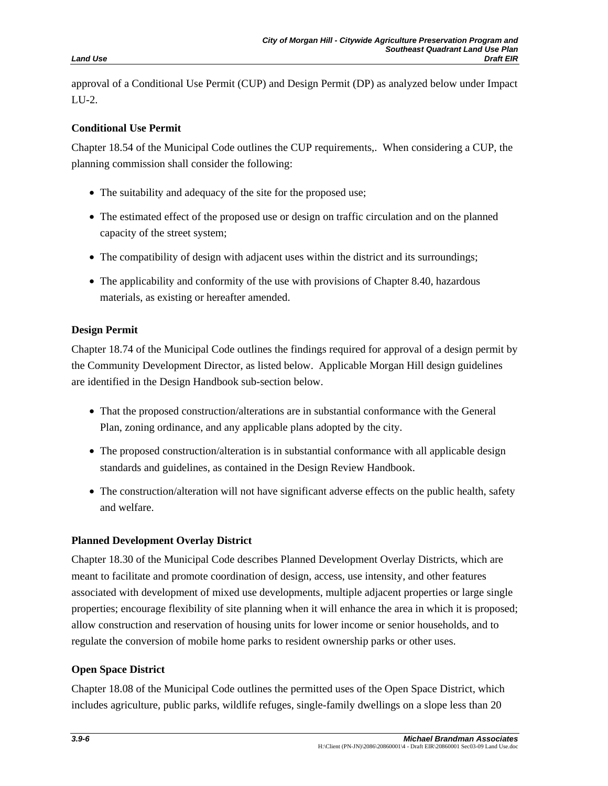approval of a Conditional Use Permit (CUP) and Design Permit (DP) as analyzed below under Impact LU-2.

# **Conditional Use Permit**

Chapter 18.54 of the Municipal Code outlines the CUP requirements,. When considering a CUP, the planning commission shall consider the following:

- The suitability and adequacy of the site for the proposed use;
- The estimated effect of the proposed use or design on traffic circulation and on the planned capacity of the street system;
- The compatibility of design with adjacent uses within the district and its surroundings;
- The applicability and conformity of the use with provisions of Chapter 8.40, hazardous materials, as existing or hereafter amended.

# **Design Permit**

Chapter 18.74 of the Municipal Code outlines the findings required for approval of a design permit by the Community Development Director, as listed below. Applicable Morgan Hill design guidelines are identified in the Design Handbook sub-section below.

- That the proposed construction/alterations are in substantial conformance with the General Plan, zoning ordinance, and any applicable plans adopted by the city.
- The proposed construction/alteration is in substantial conformance with all applicable design standards and guidelines, as contained in the Design Review Handbook.
- The construction/alteration will not have significant adverse effects on the public health, safety and welfare.

# **Planned Development Overlay District**

Chapter 18.30 of the Municipal Code describes Planned Development Overlay Districts, which are meant to facilitate and promote coordination of design, access, use intensity, and other features associated with development of mixed use developments, multiple adjacent properties or large single properties; encourage flexibility of site planning when it will enhance the area in which it is proposed; allow construction and reservation of housing units for lower income or senior households, and to regulate the conversion of mobile home parks to resident ownership parks or other uses.

# **Open Space District**

Chapter 18.08 of the Municipal Code outlines the permitted uses of the Open Space District, which includes agriculture, public parks, wildlife refuges, single-family dwellings on a slope less than 20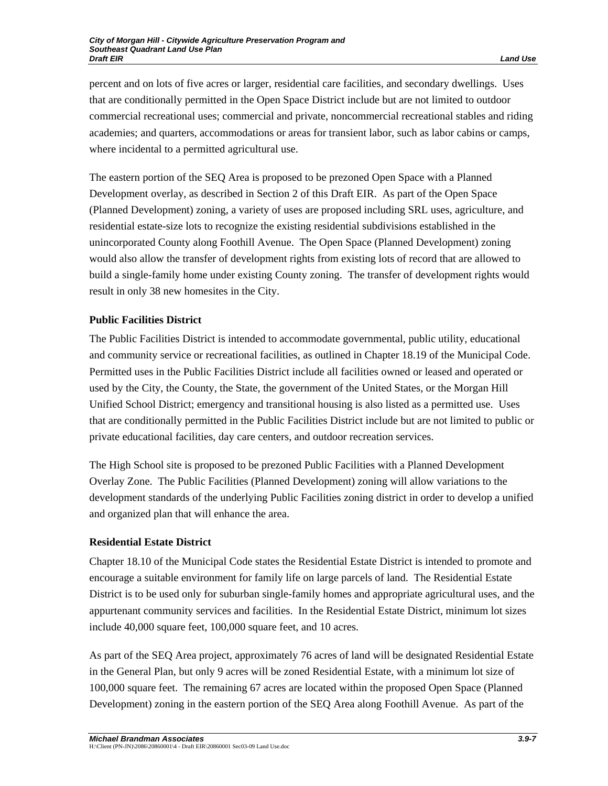percent and on lots of five acres or larger, residential care facilities, and secondary dwellings. Uses that are conditionally permitted in the Open Space District include but are not limited to outdoor commercial recreational uses; commercial and private, noncommercial recreational stables and riding academies; and quarters, accommodations or areas for transient labor, such as labor cabins or camps, where incidental to a permitted agricultural use.

The eastern portion of the SEQ Area is proposed to be prezoned Open Space with a Planned Development overlay, as described in Section 2 of this Draft EIR. As part of the Open Space (Planned Development) zoning, a variety of uses are proposed including SRL uses, agriculture, and residential estate-size lots to recognize the existing residential subdivisions established in the unincorporated County along Foothill Avenue. The Open Space (Planned Development) zoning would also allow the transfer of development rights from existing lots of record that are allowed to build a single-family home under existing County zoning. The transfer of development rights would result in only 38 new homesites in the City.

# **Public Facilities District**

The Public Facilities District is intended to accommodate governmental, public utility, educational and community service or recreational facilities, as outlined in Chapter 18.19 of the Municipal Code. Permitted uses in the Public Facilities District include all facilities owned or leased and operated or used by the City, the County, the State, the government of the United States, or the Morgan Hill Unified School District; emergency and transitional housing is also listed as a permitted use. Uses that are conditionally permitted in the Public Facilities District include but are not limited to public or private educational facilities, day care centers, and outdoor recreation services.

The High School site is proposed to be prezoned Public Facilities with a Planned Development Overlay Zone. The Public Facilities (Planned Development) zoning will allow variations to the development standards of the underlying Public Facilities zoning district in order to develop a unified and organized plan that will enhance the area.

# **Residential Estate District**

Chapter 18.10 of the Municipal Code states the Residential Estate District is intended to promote and encourage a suitable environment for family life on large parcels of land. The Residential Estate District is to be used only for suburban single-family homes and appropriate agricultural uses, and the appurtenant community services and facilities. In the Residential Estate District, minimum lot sizes include 40,000 square feet, 100,000 square feet, and 10 acres.

As part of the SEQ Area project, approximately 76 acres of land will be designated Residential Estate in the General Plan, but only 9 acres will be zoned Residential Estate, with a minimum lot size of 100,000 square feet. The remaining 67 acres are located within the proposed Open Space (Planned Development) zoning in the eastern portion of the SEQ Area along Foothill Avenue. As part of the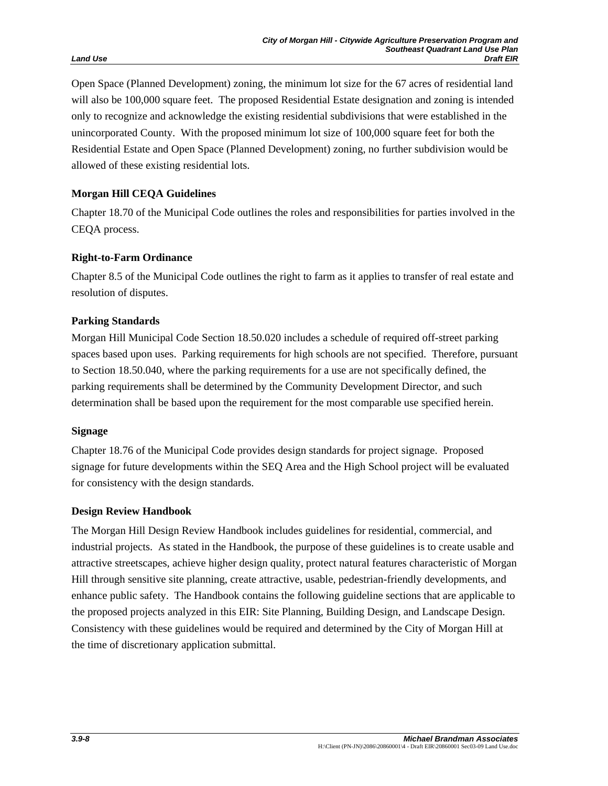Open Space (Planned Development) zoning, the minimum lot size for the 67 acres of residential land will also be 100,000 square feet. The proposed Residential Estate designation and zoning is intended only to recognize and acknowledge the existing residential subdivisions that were established in the unincorporated County. With the proposed minimum lot size of 100,000 square feet for both the Residential Estate and Open Space (Planned Development) zoning, no further subdivision would be allowed of these existing residential lots.

# **Morgan Hill CEQA Guidelines**

Chapter 18.70 of the Municipal Code outlines the roles and responsibilities for parties involved in the CEQA process.

# **Right-to-Farm Ordinance**

Chapter 8.5 of the Municipal Code outlines the right to farm as it applies to transfer of real estate and resolution of disputes.

### **Parking Standards**

Morgan Hill Municipal Code Section 18.50.020 includes a schedule of required off-street parking spaces based upon uses. Parking requirements for high schools are not specified. Therefore, pursuant to Section 18.50.040, where the parking requirements for a use are not specifically defined, the parking requirements shall be determined by the Community Development Director, and such determination shall be based upon the requirement for the most comparable use specified herein.

#### **Signage**

Chapter 18.76 of the Municipal Code provides design standards for project signage. Proposed signage for future developments within the SEQ Area and the High School project will be evaluated for consistency with the design standards.

#### **Design Review Handbook**

The Morgan Hill Design Review Handbook includes guidelines for residential, commercial, and industrial projects. As stated in the Handbook, the purpose of these guidelines is to create usable and attractive streetscapes, achieve higher design quality, protect natural features characteristic of Morgan Hill through sensitive site planning, create attractive, usable, pedestrian-friendly developments, and enhance public safety. The Handbook contains the following guideline sections that are applicable to the proposed projects analyzed in this EIR: Site Planning, Building Design, and Landscape Design. Consistency with these guidelines would be required and determined by the City of Morgan Hill at the time of discretionary application submittal.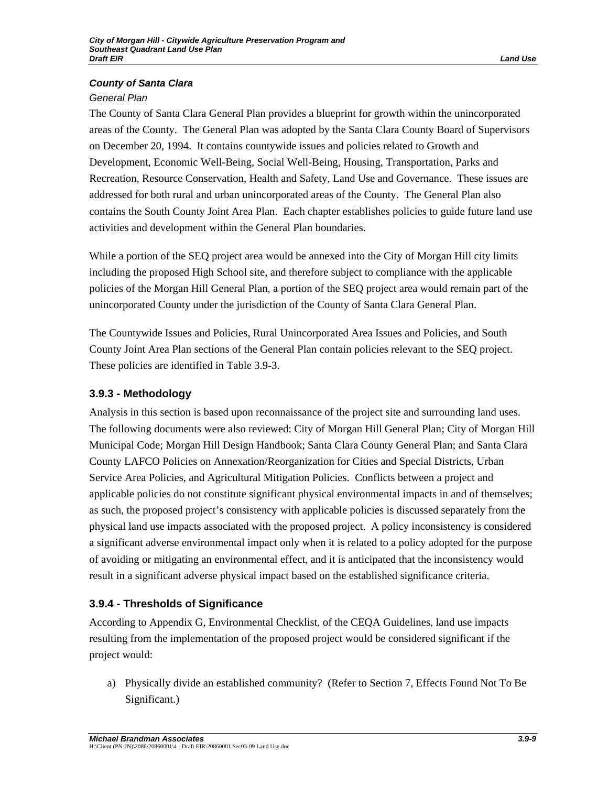# *County of Santa Clara*

#### *General Plan*

The County of Santa Clara General Plan provides a blueprint for growth within the unincorporated areas of the County. The General Plan was adopted by the Santa Clara County Board of Supervisors on December 20, 1994. It contains countywide issues and policies related to Growth and Development, Economic Well-Being, Social Well-Being, Housing, Transportation, Parks and Recreation, Resource Conservation, Health and Safety, Land Use and Governance. These issues are addressed for both rural and urban unincorporated areas of the County. The General Plan also contains the South County Joint Area Plan. Each chapter establishes policies to guide future land use activities and development within the General Plan boundaries.

While a portion of the SEQ project area would be annexed into the City of Morgan Hill city limits including the proposed High School site, and therefore subject to compliance with the applicable policies of the Morgan Hill General Plan, a portion of the SEQ project area would remain part of the unincorporated County under the jurisdiction of the County of Santa Clara General Plan.

The Countywide Issues and Policies, Rural Unincorporated Area Issues and Policies, and South County Joint Area Plan sections of the General Plan contain policies relevant to the SEQ project. These policies are identified in Table 3.9-3.

# **3.9.3 - Methodology**

Analysis in this section is based upon reconnaissance of the project site and surrounding land uses. The following documents were also reviewed: City of Morgan Hill General Plan; City of Morgan Hill Municipal Code; Morgan Hill Design Handbook; Santa Clara County General Plan; and Santa Clara County LAFCO Policies on Annexation/Reorganization for Cities and Special Districts, Urban Service Area Policies, and Agricultural Mitigation Policies. Conflicts between a project and applicable policies do not constitute significant physical environmental impacts in and of themselves; as such, the proposed project's consistency with applicable policies is discussed separately from the physical land use impacts associated with the proposed project. A policy inconsistency is considered a significant adverse environmental impact only when it is related to a policy adopted for the purpose of avoiding or mitigating an environmental effect, and it is anticipated that the inconsistency would result in a significant adverse physical impact based on the established significance criteria.

# **3.9.4 - Thresholds of Significance**

According to Appendix G, Environmental Checklist, of the CEQA Guidelines, land use impacts resulting from the implementation of the proposed project would be considered significant if the project would:

a) Physically divide an established community? (Refer to Section 7, Effects Found Not To Be Significant.)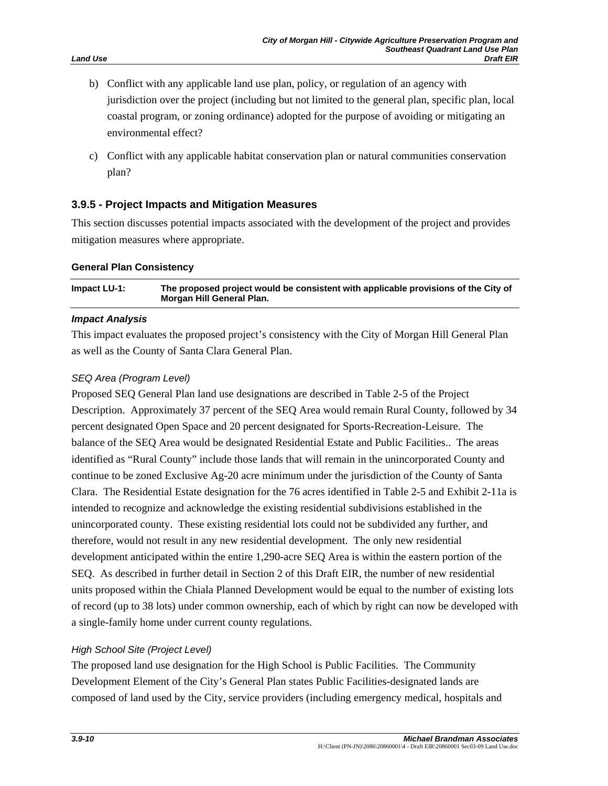- b) Conflict with any applicable land use plan, policy, or regulation of an agency with jurisdiction over the project (including but not limited to the general plan, specific plan, local coastal program, or zoning ordinance) adopted for the purpose of avoiding or mitigating an environmental effect?
- c) Conflict with any applicable habitat conservation plan or natural communities conservation plan?

# **3.9.5 - Project Impacts and Mitigation Measures**

This section discusses potential impacts associated with the development of the project and provides mitigation measures where appropriate.

#### **General Plan Consistency**

**Impact LU-1: The proposed project would be consistent with applicable provisions of the City of Morgan Hill General Plan.** 

#### *Impact Analysis*

This impact evaluates the proposed project's consistency with the City of Morgan Hill General Plan as well as the County of Santa Clara General Plan.

#### *SEQ Area (Program Level)*

Proposed SEQ General Plan land use designations are described in Table 2-5 of the Project Description. Approximately 37 percent of the SEQ Area would remain Rural County, followed by 34 percent designated Open Space and 20 percent designated for Sports-Recreation-Leisure. The balance of the SEQ Area would be designated Residential Estate and Public Facilities.. The areas identified as "Rural County" include those lands that will remain in the unincorporated County and continue to be zoned Exclusive Ag-20 acre minimum under the jurisdiction of the County of Santa Clara. The Residential Estate designation for the 76 acres identified in Table 2-5 and Exhibit 2-11a is intended to recognize and acknowledge the existing residential subdivisions established in the unincorporated county. These existing residential lots could not be subdivided any further, and therefore, would not result in any new residential development. The only new residential development anticipated within the entire 1,290-acre SEQ Area is within the eastern portion of the SEQ. As described in further detail in Section 2 of this Draft EIR, the number of new residential units proposed within the Chiala Planned Development would be equal to the number of existing lots of record (up to 38 lots) under common ownership, each of which by right can now be developed with a single-family home under current county regulations.

#### *High School Site (Project Level)*

The proposed land use designation for the High School is Public Facilities. The Community Development Element of the City's General Plan states Public Facilities-designated lands are composed of land used by the City, service providers (including emergency medical, hospitals and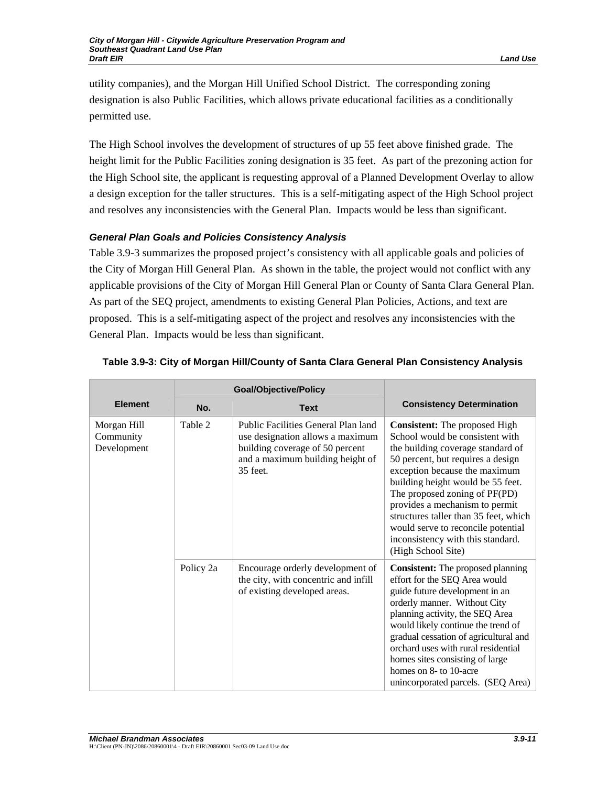utility companies), and the Morgan Hill Unified School District. The corresponding zoning designation is also Public Facilities, which allows private educational facilities as a conditionally permitted use.

The High School involves the development of structures of up 55 feet above finished grade. The height limit for the Public Facilities zoning designation is 35 feet. As part of the prezoning action for the High School site, the applicant is requesting approval of a Planned Development Overlay to allow a design exception for the taller structures. This is a self-mitigating aspect of the High School project and resolves any inconsistencies with the General Plan. Impacts would be less than significant.

# *General Plan Goals and Policies Consistency Analysis*

Table 3.9-3 summarizes the proposed project's consistency with all applicable goals and policies of the City of Morgan Hill General Plan. As shown in the table, the project would not conflict with any applicable provisions of the City of Morgan Hill General Plan or County of Santa Clara General Plan. As part of the SEQ project, amendments to existing General Plan Policies, Actions, and text are proposed. This is a self-mitigating aspect of the project and resolves any inconsistencies with the General Plan. Impacts would be less than significant.

|                                         | <b>Goal/Objective/Policy</b> |                                                                                                                                                            |                                                                                                                                                                                                                                                                                                                                                                                                                                      |
|-----------------------------------------|------------------------------|------------------------------------------------------------------------------------------------------------------------------------------------------------|--------------------------------------------------------------------------------------------------------------------------------------------------------------------------------------------------------------------------------------------------------------------------------------------------------------------------------------------------------------------------------------------------------------------------------------|
| <b>Element</b>                          | No.                          | <b>Text</b>                                                                                                                                                | <b>Consistency Determination</b>                                                                                                                                                                                                                                                                                                                                                                                                     |
| Morgan Hill<br>Community<br>Development | Table 2                      | Public Facilities General Plan land<br>use designation allows a maximum<br>building coverage of 50 percent<br>and a maximum building height of<br>35 feet. | <b>Consistent:</b> The proposed High<br>School would be consistent with<br>the building coverage standard of<br>50 percent, but requires a design<br>exception because the maximum<br>building height would be 55 feet.<br>The proposed zoning of PF(PD)<br>provides a mechanism to permit<br>structures taller than 35 feet, which<br>would serve to reconcile potential<br>inconsistency with this standard.<br>(High School Site) |
|                                         | Policy 2a                    | Encourage orderly development of<br>the city, with concentric and infill<br>of existing developed areas.                                                   | <b>Consistent:</b> The proposed planning<br>effort for the SEQ Area would<br>guide future development in an<br>orderly manner. Without City<br>planning activity, the SEQ Area<br>would likely continue the trend of<br>gradual cessation of agricultural and<br>orchard uses with rural residential<br>homes sites consisting of large<br>homes on 8- to 10-acre<br>unincorporated parcels. (SEQ Area)                              |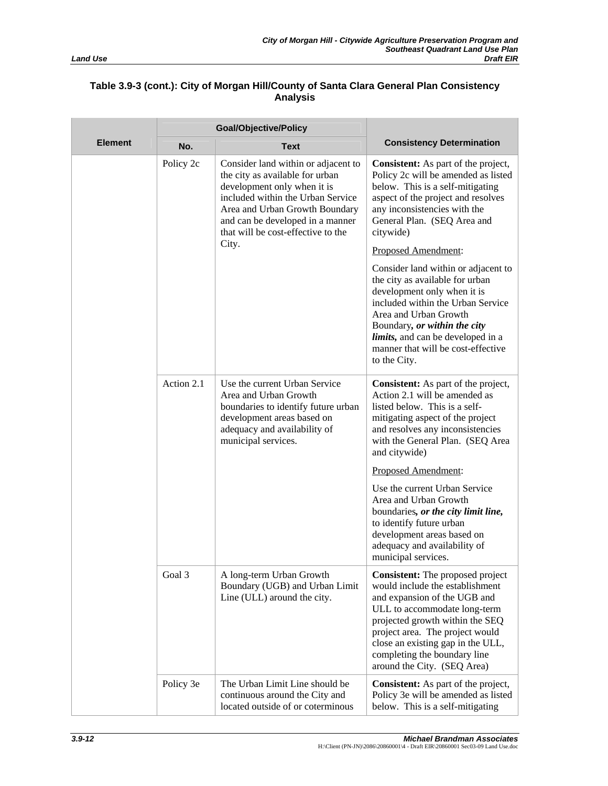|                | <b>Goal/Objective/Policy</b> |                                                                                                                                                                                                                                                        |                                                                                                                                                                                                                                                                                                                      |
|----------------|------------------------------|--------------------------------------------------------------------------------------------------------------------------------------------------------------------------------------------------------------------------------------------------------|----------------------------------------------------------------------------------------------------------------------------------------------------------------------------------------------------------------------------------------------------------------------------------------------------------------------|
| <b>Element</b> | No.                          | <b>Text</b>                                                                                                                                                                                                                                            | <b>Consistency Determination</b>                                                                                                                                                                                                                                                                                     |
|                | Policy 2c                    | Consider land within or adjacent to<br>the city as available for urban<br>development only when it is<br>included within the Urban Service<br>Area and Urban Growth Boundary<br>and can be developed in a manner<br>that will be cost-effective to the | <b>Consistent:</b> As part of the project,<br>Policy 2c will be amended as listed<br>below. This is a self-mitigating<br>aspect of the project and resolves<br>any inconsistencies with the<br>General Plan. (SEQ Area and<br>citywide)                                                                              |
|                |                              | City.                                                                                                                                                                                                                                                  | Proposed Amendment:                                                                                                                                                                                                                                                                                                  |
|                |                              |                                                                                                                                                                                                                                                        | Consider land within or adjacent to<br>the city as available for urban<br>development only when it is<br>included within the Urban Service<br>Area and Urban Growth<br>Boundary, or within the city<br><i>limits</i> , and can be developed in a<br>manner that will be cost-effective<br>to the City.               |
|                | Action 2.1                   | Use the current Urban Service<br>Area and Urban Growth<br>boundaries to identify future urban<br>development areas based on<br>adequacy and availability of<br>municipal services.                                                                     | Consistent: As part of the project,<br>Action 2.1 will be amended as<br>listed below. This is a self-<br>mitigating aspect of the project<br>and resolves any inconsistencies<br>with the General Plan. (SEQ Area<br>and citywide)                                                                                   |
|                |                              |                                                                                                                                                                                                                                                        | Proposed Amendment:                                                                                                                                                                                                                                                                                                  |
|                |                              |                                                                                                                                                                                                                                                        | Use the current Urban Service<br>Area and Urban Growth<br>boundaries, or the city limit line,<br>to identify future urban<br>development areas based on<br>adequacy and availability of<br>municipal services.                                                                                                       |
|                | Goal 3                       | A long-term Urban Growth<br>Boundary (UGB) and Urban Limit<br>Line (ULL) around the city.                                                                                                                                                              | <b>Consistent:</b> The proposed project<br>would include the establishment<br>and expansion of the UGB and<br>ULL to accommodate long-term<br>projected growth within the SEQ<br>project area. The project would<br>close an existing gap in the ULL,<br>completing the boundary line<br>around the City. (SEQ Area) |
|                | Policy 3e                    | The Urban Limit Line should be<br>continuous around the City and<br>located outside of or coterminous                                                                                                                                                  | <b>Consistent:</b> As part of the project,<br>Policy 3e will be amended as listed<br>below. This is a self-mitigating                                                                                                                                                                                                |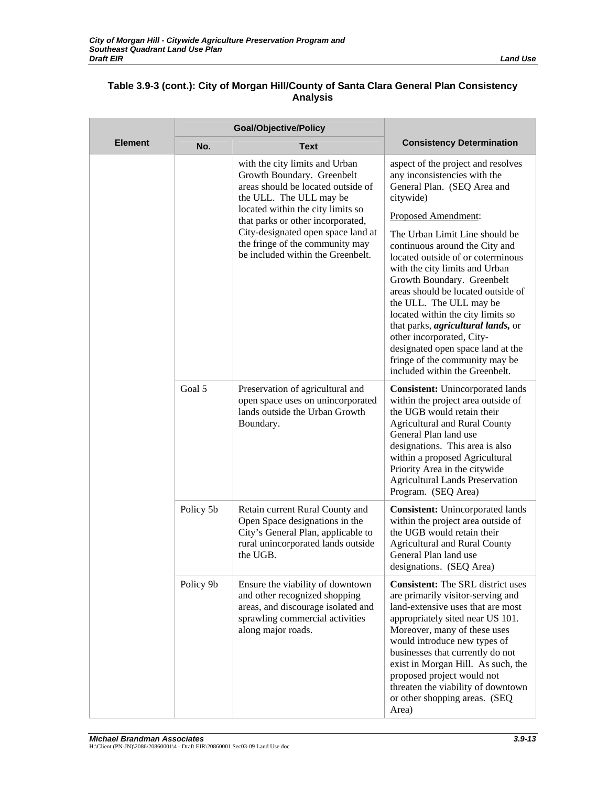|                | <b>Goal/Objective/Policy</b> |                                                                                                                                                                  |                                                                                                                                                                                                                                                                                                                                                                                                                                                                 |
|----------------|------------------------------|------------------------------------------------------------------------------------------------------------------------------------------------------------------|-----------------------------------------------------------------------------------------------------------------------------------------------------------------------------------------------------------------------------------------------------------------------------------------------------------------------------------------------------------------------------------------------------------------------------------------------------------------|
| <b>Element</b> | No.                          | <b>Text</b>                                                                                                                                                      | <b>Consistency Determination</b>                                                                                                                                                                                                                                                                                                                                                                                                                                |
|                |                              | with the city limits and Urban<br>Growth Boundary. Greenbelt<br>areas should be located outside of<br>the ULL. The ULL may be                                    | aspect of the project and resolves<br>any inconsistencies with the<br>General Plan. (SEQ Area and<br>citywide)                                                                                                                                                                                                                                                                                                                                                  |
|                |                              | located within the city limits so<br>that parks or other incorporated,                                                                                           | Proposed Amendment:                                                                                                                                                                                                                                                                                                                                                                                                                                             |
|                |                              | City-designated open space land at<br>the fringe of the community may<br>be included within the Greenbelt.                                                       | The Urban Limit Line should be<br>continuous around the City and<br>located outside of or coterminous<br>with the city limits and Urban<br>Growth Boundary. Greenbelt<br>areas should be located outside of<br>the ULL. The ULL may be<br>located within the city limits so<br>that parks, <i>agricultural lands</i> , or<br>other incorporated, City-<br>designated open space land at the<br>fringe of the community may be<br>included within the Greenbelt. |
|                | Goal 5                       | Preservation of agricultural and<br>open space uses on unincorporated<br>lands outside the Urban Growth<br>Boundary.                                             | <b>Consistent:</b> Unincorporated lands<br>within the project area outside of<br>the UGB would retain their<br><b>Agricultural and Rural County</b><br>General Plan land use<br>designations. This area is also<br>within a proposed Agricultural<br>Priority Area in the citywide<br><b>Agricultural Lands Preservation</b><br>Program. (SEQ Area)                                                                                                             |
|                | Policy 5b                    | Retain current Rural County and<br>Open Space designations in the<br>City's General Plan, applicable to<br>rural unincorporated lands outside<br>the UGB.        | <b>Consistent:</b> Unincorporated lands<br>within the project area outside of<br>the UGB would retain their<br><b>Agricultural and Rural County</b><br>General Plan land use<br>designations. (SEQ Area)                                                                                                                                                                                                                                                        |
|                | Policy 9b                    | Ensure the viability of downtown<br>and other recognized shopping<br>areas, and discourage isolated and<br>sprawling commercial activities<br>along major roads. | <b>Consistent:</b> The SRL district uses<br>are primarily visitor-serving and<br>land-extensive uses that are most<br>appropriately sited near US 101.<br>Moreover, many of these uses<br>would introduce new types of<br>businesses that currently do not<br>exist in Morgan Hill. As such, the<br>proposed project would not<br>threaten the viability of downtown<br>or other shopping areas. (SEQ<br>Area)                                                  |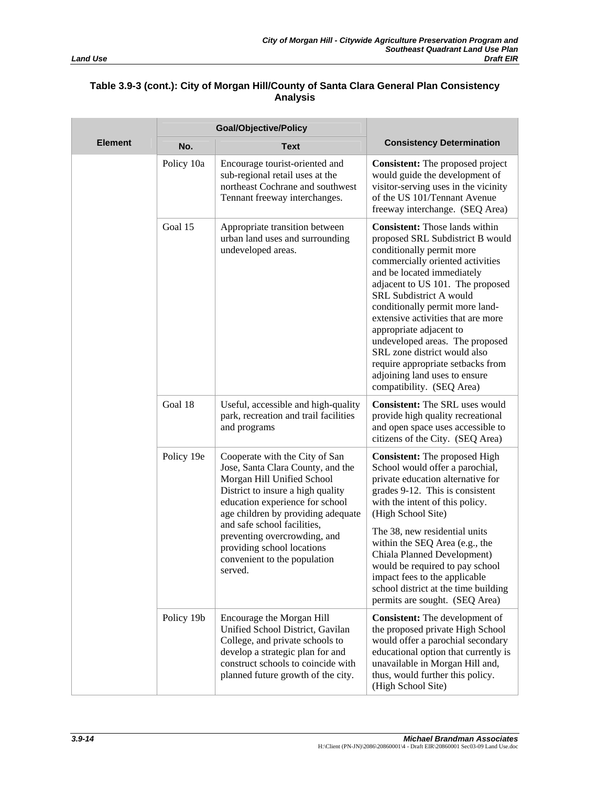|                | <b>Goal/Objective/Policy</b> |                                                                                                                                                                                                                                                                                                                                                         |                                                                                                                                                                                                                                                                                                                                                                                                                                                                                                                   |
|----------------|------------------------------|---------------------------------------------------------------------------------------------------------------------------------------------------------------------------------------------------------------------------------------------------------------------------------------------------------------------------------------------------------|-------------------------------------------------------------------------------------------------------------------------------------------------------------------------------------------------------------------------------------------------------------------------------------------------------------------------------------------------------------------------------------------------------------------------------------------------------------------------------------------------------------------|
| <b>Element</b> | No.                          | <b>Text</b>                                                                                                                                                                                                                                                                                                                                             | <b>Consistency Determination</b>                                                                                                                                                                                                                                                                                                                                                                                                                                                                                  |
|                | Policy 10a                   | Encourage tourist-oriented and<br>sub-regional retail uses at the<br>northeast Cochrane and southwest<br>Tennant freeway interchanges.                                                                                                                                                                                                                  | <b>Consistent:</b> The proposed project<br>would guide the development of<br>visitor-serving uses in the vicinity<br>of the US 101/Tennant Avenue<br>freeway interchange. (SEQ Area)                                                                                                                                                                                                                                                                                                                              |
|                | Goal 15                      | Appropriate transition between<br>urban land uses and surrounding<br>undeveloped areas.                                                                                                                                                                                                                                                                 | <b>Consistent:</b> Those lands within<br>proposed SRL Subdistrict B would<br>conditionally permit more<br>commercially oriented activities<br>and be located immediately<br>adjacent to US 101. The proposed<br>SRL Subdistrict A would<br>conditionally permit more land-<br>extensive activities that are more<br>appropriate adjacent to<br>undeveloped areas. The proposed<br>SRL zone district would also<br>require appropriate setbacks from<br>adjoining land uses to ensure<br>compatibility. (SEQ Area) |
|                | Goal 18                      | Useful, accessible and high-quality<br>park, recreation and trail facilities<br>and programs                                                                                                                                                                                                                                                            | <b>Consistent:</b> The SRL uses would<br>provide high quality recreational<br>and open space uses accessible to<br>citizens of the City. (SEQ Area)                                                                                                                                                                                                                                                                                                                                                               |
|                | Policy 19e                   | Cooperate with the City of San<br>Jose, Santa Clara County, and the<br>Morgan Hill Unified School<br>District to insure a high quality<br>education experience for school<br>age children by providing adequate<br>and safe school facilities,<br>preventing overcrowding, and<br>providing school locations<br>convenient to the population<br>served. | <b>Consistent:</b> The proposed High<br>School would offer a parochial,<br>private education alternative for<br>grades 9-12. This is consistent<br>with the intent of this policy.<br>(High School Site)<br>The 38, new residential units<br>within the SEQ Area (e.g., the<br>Chiala Planned Development)<br>would be required to pay school<br>impact fees to the applicable<br>school district at the time building<br>permits are sought. (SEQ Area)                                                          |
|                | Policy 19b                   | Encourage the Morgan Hill<br>Unified School District, Gavilan<br>College, and private schools to<br>develop a strategic plan for and<br>construct schools to coincide with<br>planned future growth of the city.                                                                                                                                        | <b>Consistent:</b> The development of<br>the proposed private High School<br>would offer a parochial secondary<br>educational option that currently is<br>unavailable in Morgan Hill and,<br>thus, would further this policy.<br>(High School Site)                                                                                                                                                                                                                                                               |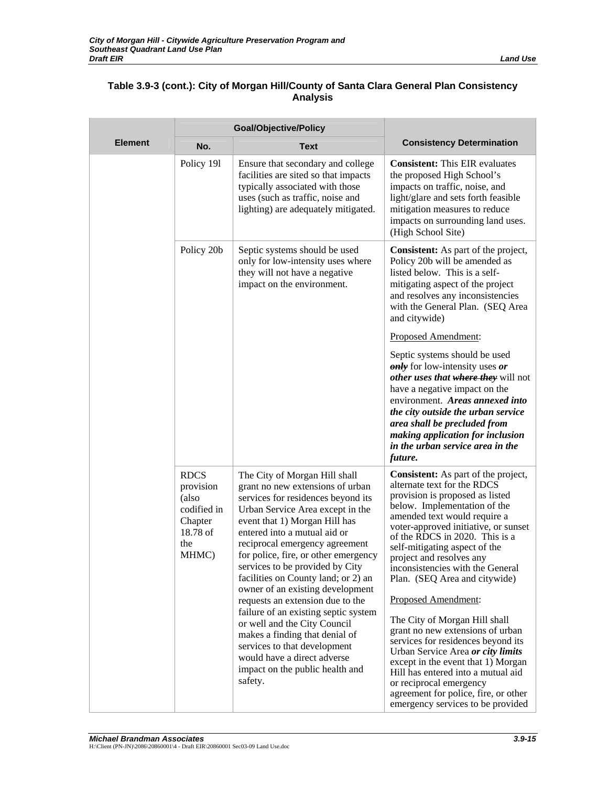|                | <b>Goal/Objective/Policy</b>                                                            |                                                                                                                                                                                                                                                                                                                                                                                                                                                                                                                                                                                                                                                                 |                                                                                                                                                                                                                                                                                                                                                                                                                                                                                                                                                                                                                                                                                                                                                     |
|----------------|-----------------------------------------------------------------------------------------|-----------------------------------------------------------------------------------------------------------------------------------------------------------------------------------------------------------------------------------------------------------------------------------------------------------------------------------------------------------------------------------------------------------------------------------------------------------------------------------------------------------------------------------------------------------------------------------------------------------------------------------------------------------------|-----------------------------------------------------------------------------------------------------------------------------------------------------------------------------------------------------------------------------------------------------------------------------------------------------------------------------------------------------------------------------------------------------------------------------------------------------------------------------------------------------------------------------------------------------------------------------------------------------------------------------------------------------------------------------------------------------------------------------------------------------|
| <b>Element</b> | No.                                                                                     | <b>Text</b>                                                                                                                                                                                                                                                                                                                                                                                                                                                                                                                                                                                                                                                     | <b>Consistency Determination</b>                                                                                                                                                                                                                                                                                                                                                                                                                                                                                                                                                                                                                                                                                                                    |
|                | Policy 191                                                                              | Ensure that secondary and college<br>facilities are sited so that impacts<br>typically associated with those<br>uses (such as traffic, noise and<br>lighting) are adequately mitigated.                                                                                                                                                                                                                                                                                                                                                                                                                                                                         | <b>Consistent:</b> This EIR evaluates<br>the proposed High School's<br>impacts on traffic, noise, and<br>light/glare and sets forth feasible<br>mitigation measures to reduce<br>impacts on surrounding land uses.<br>(High School Site)                                                                                                                                                                                                                                                                                                                                                                                                                                                                                                            |
|                | Policy 20b                                                                              | Septic systems should be used<br>only for low-intensity uses where<br>they will not have a negative<br>impact on the environment.                                                                                                                                                                                                                                                                                                                                                                                                                                                                                                                               | <b>Consistent:</b> As part of the project,<br>Policy 20b will be amended as<br>listed below. This is a self-<br>mitigating aspect of the project<br>and resolves any inconsistencies<br>with the General Plan. (SEQ Area<br>and citywide)                                                                                                                                                                                                                                                                                                                                                                                                                                                                                                           |
|                |                                                                                         |                                                                                                                                                                                                                                                                                                                                                                                                                                                                                                                                                                                                                                                                 | Proposed Amendment:                                                                                                                                                                                                                                                                                                                                                                                                                                                                                                                                                                                                                                                                                                                                 |
|                |                                                                                         |                                                                                                                                                                                                                                                                                                                                                                                                                                                                                                                                                                                                                                                                 | Septic systems should be used<br><b>only</b> for low-intensity uses or<br>other uses that where they will not<br>have a negative impact on the<br>environment. Areas annexed into<br>the city outside the urban service<br>area shall be precluded from<br>making application for inclusion<br>in the urban service area in the<br>future.                                                                                                                                                                                                                                                                                                                                                                                                          |
|                | <b>RDCS</b><br>provision<br>(also<br>codified in<br>Chapter<br>18.78 of<br>the<br>MHMC) | The City of Morgan Hill shall<br>grant no new extensions of urban<br>services for residences beyond its<br>Urban Service Area except in the<br>event that 1) Morgan Hill has<br>entered into a mutual aid or<br>reciprocal emergency agreement<br>for police, fire, or other emergency<br>services to be provided by City<br>facilities on County land; or 2) an<br>owner of an existing development<br>requests an extension due to the<br>failure of an existing septic system<br>or well and the City Council<br>makes a finding that denial of<br>services to that development<br>would have a direct adverse<br>impact on the public health and<br>safety. | <b>Consistent:</b> As part of the project,<br>alternate text for the RDCS<br>provision is proposed as listed<br>below. Implementation of the<br>amended text would require a<br>voter-approved initiative, or sunset<br>of the RDCS in 2020. This is a<br>self-mitigating aspect of the<br>project and resolves any<br>inconsistencies with the General<br>Plan. (SEQ Area and citywide)<br>Proposed Amendment:<br>The City of Morgan Hill shall<br>grant no new extensions of urban<br>services for residences beyond its<br>Urban Service Area or city limits<br>except in the event that 1) Morgan<br>Hill has entered into a mutual aid<br>or reciprocal emergency<br>agreement for police, fire, or other<br>emergency services to be provided |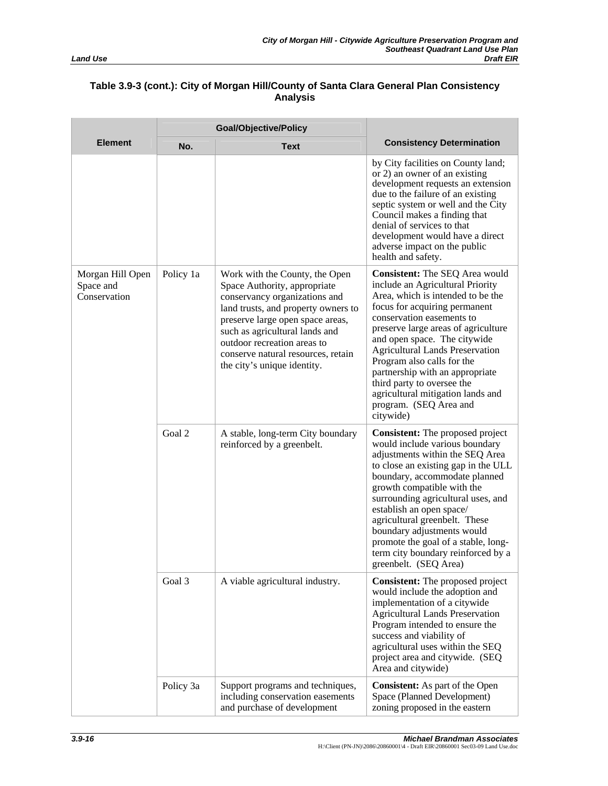|                                               | <b>Goal/Objective/Policy</b> |                                                                                                                                                                                                                                                                                                                  |                                                                                                                                                                                                                                                                                                                                                                                                                                                                          |  |
|-----------------------------------------------|------------------------------|------------------------------------------------------------------------------------------------------------------------------------------------------------------------------------------------------------------------------------------------------------------------------------------------------------------|--------------------------------------------------------------------------------------------------------------------------------------------------------------------------------------------------------------------------------------------------------------------------------------------------------------------------------------------------------------------------------------------------------------------------------------------------------------------------|--|
| <b>Element</b>                                | No.                          | <b>Text</b>                                                                                                                                                                                                                                                                                                      | <b>Consistency Determination</b>                                                                                                                                                                                                                                                                                                                                                                                                                                         |  |
|                                               |                              |                                                                                                                                                                                                                                                                                                                  | by City facilities on County land;<br>or 2) an owner of an existing<br>development requests an extension<br>due to the failure of an existing<br>septic system or well and the City<br>Council makes a finding that<br>denial of services to that<br>development would have a direct<br>adverse impact on the public<br>health and safety.                                                                                                                               |  |
| Morgan Hill Open<br>Space and<br>Conservation | Policy 1a                    | Work with the County, the Open<br>Space Authority, appropriate<br>conservancy organizations and<br>land trusts, and property owners to<br>preserve large open space areas,<br>such as agricultural lands and<br>outdoor recreation areas to<br>conserve natural resources, retain<br>the city's unique identity. | <b>Consistent:</b> The SEQ Area would<br>include an Agricultural Priority<br>Area, which is intended to be the<br>focus for acquiring permanent<br>conservation easements to<br>preserve large areas of agriculture<br>and open space. The citywide<br><b>Agricultural Lands Preservation</b><br>Program also calls for the<br>partnership with an appropriate<br>third party to oversee the<br>agricultural mitigation lands and<br>program. (SEQ Area and<br>citywide) |  |
|                                               | Goal 2                       | A stable, long-term City boundary<br>reinforced by a greenbelt.                                                                                                                                                                                                                                                  | <b>Consistent:</b> The proposed project<br>would include various boundary<br>adjustments within the SEQ Area<br>to close an existing gap in the ULL<br>boundary, accommodate planned<br>growth compatible with the<br>surrounding agricultural uses, and<br>establish an open space/<br>agricultural greenbelt. These<br>boundary adjustments would<br>promote the goal of a stable, long-<br>term city boundary reinforced by a<br>greenbelt. (SEQ Area)                |  |
|                                               | Goal 3                       | A viable agricultural industry.                                                                                                                                                                                                                                                                                  | <b>Consistent:</b> The proposed project<br>would include the adoption and<br>implementation of a citywide<br><b>Agricultural Lands Preservation</b><br>Program intended to ensure the<br>success and viability of<br>agricultural uses within the SEQ<br>project area and citywide. (SEQ<br>Area and citywide)                                                                                                                                                           |  |
|                                               | Policy 3a                    | Support programs and techniques,<br>including conservation easements<br>and purchase of development                                                                                                                                                                                                              | <b>Consistent:</b> As part of the Open<br>Space (Planned Development)<br>zoning proposed in the eastern                                                                                                                                                                                                                                                                                                                                                                  |  |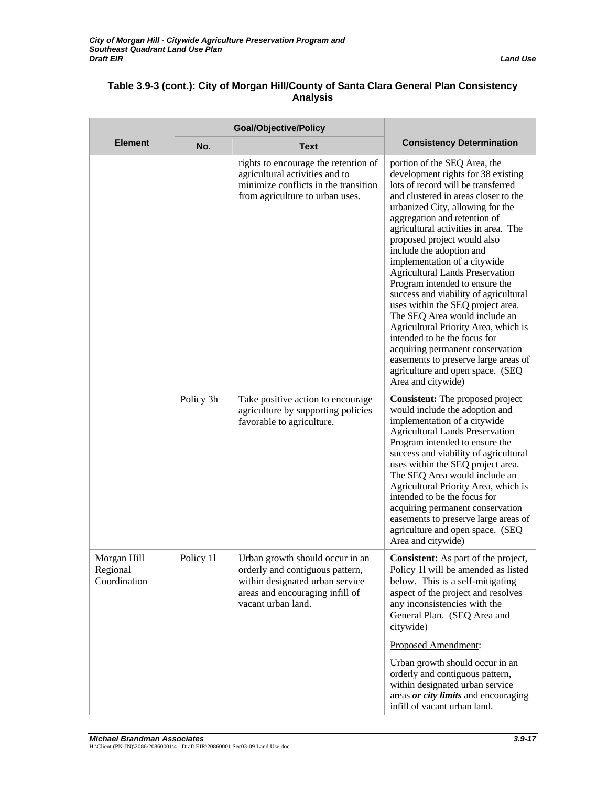|                                         | <b>Goal/Objective/Policy</b> |                                                                                                                                                                |                                                                                                                                                                                                                                                                                                                                                                                                                                                                                                                                                                                                                                                                                                                                                                  |
|-----------------------------------------|------------------------------|----------------------------------------------------------------------------------------------------------------------------------------------------------------|------------------------------------------------------------------------------------------------------------------------------------------------------------------------------------------------------------------------------------------------------------------------------------------------------------------------------------------------------------------------------------------------------------------------------------------------------------------------------------------------------------------------------------------------------------------------------------------------------------------------------------------------------------------------------------------------------------------------------------------------------------------|
| <b>Element</b>                          | No.                          | <b>Text</b>                                                                                                                                                    | <b>Consistency Determination</b>                                                                                                                                                                                                                                                                                                                                                                                                                                                                                                                                                                                                                                                                                                                                 |
|                                         |                              | rights to encourage the retention of<br>agricultural activities and to<br>minimize conflicts in the transition<br>from agriculture to urban uses.              | portion of the SEQ Area, the<br>development rights for 38 existing<br>lots of record will be transferred<br>and clustered in areas closer to the<br>urbanized City, allowing for the<br>aggregation and retention of<br>agricultural activities in area. The<br>proposed project would also<br>include the adoption and<br>implementation of a citywide<br><b>Agricultural Lands Preservation</b><br>Program intended to ensure the<br>success and viability of agricultural<br>uses within the SEQ project area.<br>The SEQ Area would include an<br>Agricultural Priority Area, which is<br>intended to be the focus for<br>acquiring permanent conservation<br>easements to preserve large areas of<br>agriculture and open space. (SEQ<br>Area and citywide) |
|                                         | Policy 3h                    | Take positive action to encourage<br>agriculture by supporting policies<br>favorable to agriculture.                                                           | <b>Consistent:</b> The proposed project<br>would include the adoption and<br>implementation of a citywide<br><b>Agricultural Lands Preservation</b><br>Program intended to ensure the<br>success and viability of agricultural<br>uses within the SEQ project area.<br>The SEQ Area would include an<br>Agricultural Priority Area, which is<br>intended to be the focus for<br>acquiring permanent conservation<br>easements to preserve large areas of<br>agriculture and open space. (SEQ<br>Area and citywide)                                                                                                                                                                                                                                               |
| Morgan Hill<br>Regional<br>Coordination | Policy 11                    | Urban growth should occur in an<br>orderly and contiguous pattern,<br>within designated urban service<br>areas and encouraging infill of<br>vacant urban land. | Consistent: As part of the project,<br>Policy 11 will be amended as listed<br>below. This is a self-mitigating<br>aspect of the project and resolves<br>any inconsistencies with the<br>General Plan. (SEQ Area and<br>citywide)                                                                                                                                                                                                                                                                                                                                                                                                                                                                                                                                 |
|                                         |                              |                                                                                                                                                                | Proposed Amendment:                                                                                                                                                                                                                                                                                                                                                                                                                                                                                                                                                                                                                                                                                                                                              |
|                                         |                              |                                                                                                                                                                | Urban growth should occur in an<br>orderly and contiguous pattern,<br>within designated urban service<br>areas <i>or city limits</i> and encouraging<br>infill of vacant urban land.                                                                                                                                                                                                                                                                                                                                                                                                                                                                                                                                                                             |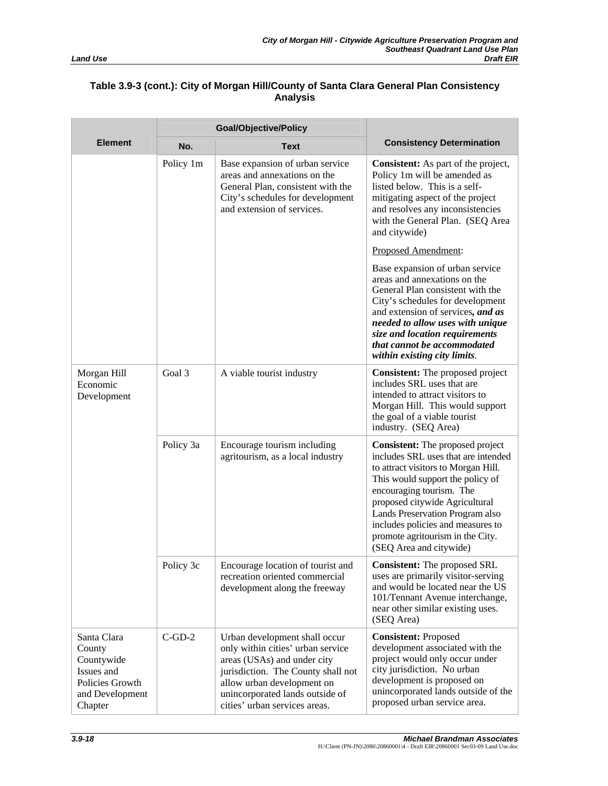|                                                                                                    | <b>Goal/Objective/Policy</b> |                                                                                                                                                                                                                                           |                                                                                                                                                                                                                                                                                                                                                                |
|----------------------------------------------------------------------------------------------------|------------------------------|-------------------------------------------------------------------------------------------------------------------------------------------------------------------------------------------------------------------------------------------|----------------------------------------------------------------------------------------------------------------------------------------------------------------------------------------------------------------------------------------------------------------------------------------------------------------------------------------------------------------|
| <b>Element</b>                                                                                     | No.                          | <b>Text</b>                                                                                                                                                                                                                               | <b>Consistency Determination</b>                                                                                                                                                                                                                                                                                                                               |
|                                                                                                    | Policy 1m                    | Base expansion of urban service<br>areas and annexations on the<br>General Plan, consistent with the<br>City's schedules for development<br>and extension of services.                                                                    | <b>Consistent:</b> As part of the project,<br>Policy 1m will be amended as<br>listed below. This is a self-<br>mitigating aspect of the project<br>and resolves any inconsistencies<br>with the General Plan. (SEQ Area<br>and citywide)                                                                                                                       |
|                                                                                                    |                              |                                                                                                                                                                                                                                           | Proposed Amendment:                                                                                                                                                                                                                                                                                                                                            |
|                                                                                                    |                              |                                                                                                                                                                                                                                           | Base expansion of urban service<br>areas and annexations on the<br>General Plan consistent with the<br>City's schedules for development<br>and extension of services, and as<br>needed to allow uses with unique<br>size and location requirements<br>that cannot be accommodated<br>within existing city limits.                                              |
| Morgan Hill<br>Economic<br>Development                                                             | Goal 3                       | A viable tourist industry                                                                                                                                                                                                                 | <b>Consistent:</b> The proposed project<br>includes SRL uses that are<br>intended to attract visitors to<br>Morgan Hill. This would support<br>the goal of a viable tourist<br>industry. (SEQ Area)                                                                                                                                                            |
|                                                                                                    | Policy 3a                    | Encourage tourism including<br>agritourism, as a local industry                                                                                                                                                                           | <b>Consistent:</b> The proposed project<br>includes SRL uses that are intended<br>to attract visitors to Morgan Hill.<br>This would support the policy of<br>encouraging tourism. The<br>proposed citywide Agricultural<br>Lands Preservation Program also<br>includes policies and measures to<br>promote agritourism in the City.<br>(SEQ Area and citywide) |
|                                                                                                    | Policy 3c                    | Encourage location of tourist and<br>recreation oriented commercial<br>development along the freeway                                                                                                                                      | <b>Consistent:</b> The proposed SRL<br>uses are primarily visitor-serving<br>and would be located near the US<br>101/Tennant Avenue interchange,<br>near other similar existing uses.<br>(SEQ Area)                                                                                                                                                            |
| Santa Clara<br>County<br>Countywide<br>Issues and<br>Policies Growth<br>and Development<br>Chapter | $C$ -GD-2                    | Urban development shall occur<br>only within cities' urban service<br>areas (USAs) and under city<br>jurisdiction. The County shall not<br>allow urban development on<br>unincorporated lands outside of<br>cities' urban services areas. | <b>Consistent: Proposed</b><br>development associated with the<br>project would only occur under<br>city jurisdiction. No urban<br>development is proposed on<br>unincorporated lands outside of the<br>proposed urban service area.                                                                                                                           |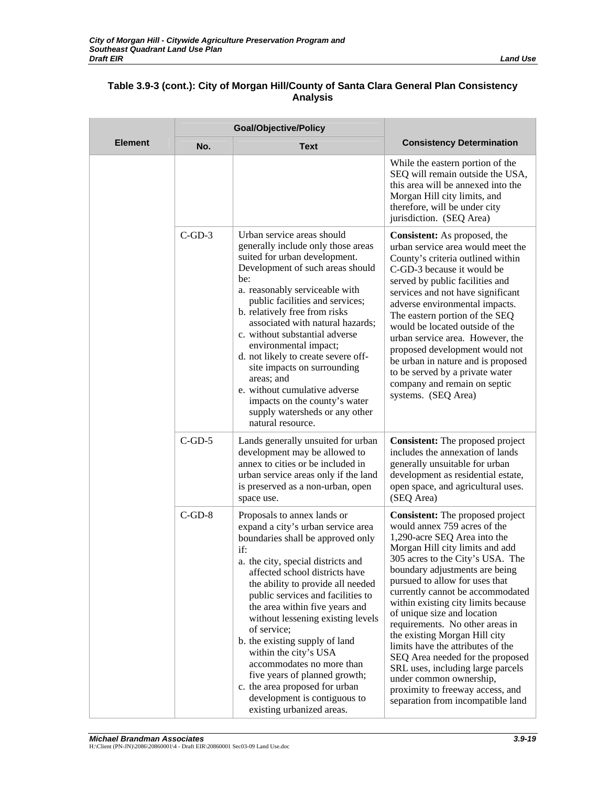|                | <b>Goal/Objective/Policy</b> |                                                                                                                                                                                                                                                                                                                                                                                                                                                                                                                                                                               |                                                                                                                                                                                                                                                                                                                                                                                                                                                                                                                                                                                                                                                    |
|----------------|------------------------------|-------------------------------------------------------------------------------------------------------------------------------------------------------------------------------------------------------------------------------------------------------------------------------------------------------------------------------------------------------------------------------------------------------------------------------------------------------------------------------------------------------------------------------------------------------------------------------|----------------------------------------------------------------------------------------------------------------------------------------------------------------------------------------------------------------------------------------------------------------------------------------------------------------------------------------------------------------------------------------------------------------------------------------------------------------------------------------------------------------------------------------------------------------------------------------------------------------------------------------------------|
| <b>Element</b> | No.                          | <b>Text</b>                                                                                                                                                                                                                                                                                                                                                                                                                                                                                                                                                                   | <b>Consistency Determination</b>                                                                                                                                                                                                                                                                                                                                                                                                                                                                                                                                                                                                                   |
|                |                              |                                                                                                                                                                                                                                                                                                                                                                                                                                                                                                                                                                               | While the eastern portion of the<br>SEQ will remain outside the USA,<br>this area will be annexed into the<br>Morgan Hill city limits, and<br>therefore, will be under city<br>jurisdiction. (SEQ Area)                                                                                                                                                                                                                                                                                                                                                                                                                                            |
|                | $C$ -GD-3                    | Urban service areas should<br>generally include only those areas<br>suited for urban development.<br>Development of such areas should<br>be:<br>a. reasonably serviceable with<br>public facilities and services;<br>b. relatively free from risks<br>associated with natural hazards;<br>c. without substantial adverse<br>environmental impact;<br>d. not likely to create severe off-<br>site impacts on surrounding<br>areas; and<br>e. without cumulative adverse<br>impacts on the county's water<br>supply watersheds or any other<br>natural resource.                | <b>Consistent:</b> As proposed, the<br>urban service area would meet the<br>County's criteria outlined within<br>C-GD-3 because it would be<br>served by public facilities and<br>services and not have significant<br>adverse environmental impacts.<br>The eastern portion of the SEQ<br>would be located outside of the<br>urban service area. However, the<br>proposed development would not<br>be urban in nature and is proposed<br>to be served by a private water<br>company and remain on septic<br>systems. (SEQ Area)                                                                                                                   |
|                | $C$ -GD-5                    | Lands generally unsuited for urban<br>development may be allowed to<br>annex to cities or be included in<br>urban service areas only if the land<br>is preserved as a non-urban, open<br>space use.                                                                                                                                                                                                                                                                                                                                                                           | <b>Consistent:</b> The proposed project<br>includes the annexation of lands<br>generally unsuitable for urban<br>development as residential estate,<br>open space, and agricultural uses.<br>(SEQ Area)                                                                                                                                                                                                                                                                                                                                                                                                                                            |
|                | $C$ -GD-8                    | Proposals to annex lands or<br>expand a city's urban service area<br>boundaries shall be approved only<br>if:<br>a. the city, special districts and<br>affected school districts have<br>the ability to provide all needed<br>public services and facilities to<br>the area within five years and<br>without lessening existing levels<br>of service;<br>b. the existing supply of land<br>within the city's USA<br>accommodates no more than<br>five years of planned growth;<br>c. the area proposed for urban<br>development is contiguous to<br>existing urbanized areas. | <b>Consistent:</b> The proposed project<br>would annex 759 acres of the<br>1,290-acre SEQ Area into the<br>Morgan Hill city limits and add<br>305 acres to the City's USA. The<br>boundary adjustments are being<br>pursued to allow for uses that<br>currently cannot be accommodated<br>within existing city limits because<br>of unique size and location<br>requirements. No other areas in<br>the existing Morgan Hill city<br>limits have the attributes of the<br>SEQ Area needed for the proposed<br>SRL uses, including large parcels<br>under common ownership,<br>proximity to freeway access, and<br>separation from incompatible land |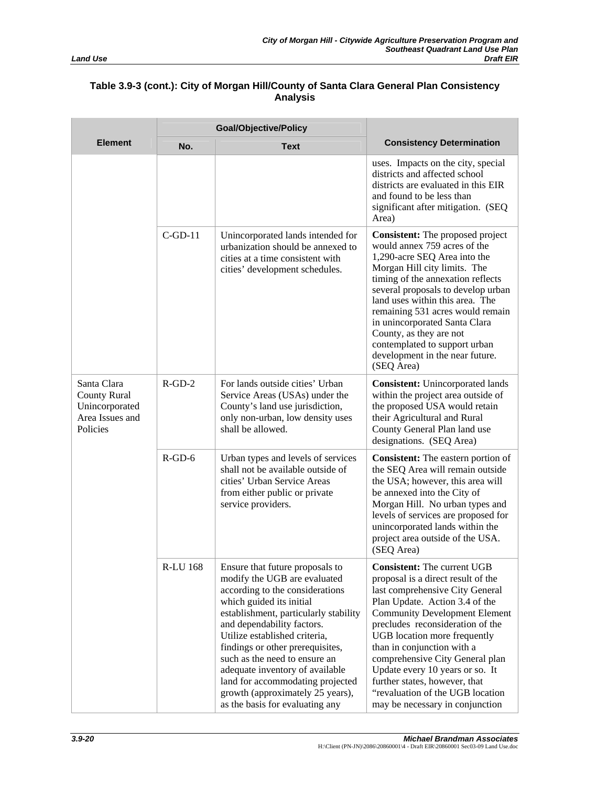|                                                                                     | <b>Goal/Objective/Policy</b> |                                                                                                                                                                                                                                                                                                                                                                                                                                                           |                                                                                                                                                                                                                                                                                                                                                                                                                                                                       |
|-------------------------------------------------------------------------------------|------------------------------|-----------------------------------------------------------------------------------------------------------------------------------------------------------------------------------------------------------------------------------------------------------------------------------------------------------------------------------------------------------------------------------------------------------------------------------------------------------|-----------------------------------------------------------------------------------------------------------------------------------------------------------------------------------------------------------------------------------------------------------------------------------------------------------------------------------------------------------------------------------------------------------------------------------------------------------------------|
| <b>Element</b>                                                                      | No.                          | <b>Text</b>                                                                                                                                                                                                                                                                                                                                                                                                                                               | <b>Consistency Determination</b>                                                                                                                                                                                                                                                                                                                                                                                                                                      |
|                                                                                     |                              |                                                                                                                                                                                                                                                                                                                                                                                                                                                           | uses. Impacts on the city, special<br>districts and affected school<br>districts are evaluated in this EIR<br>and found to be less than<br>significant after mitigation. (SEQ<br>Area)                                                                                                                                                                                                                                                                                |
|                                                                                     | $C$ -GD-11                   | Unincorporated lands intended for<br>urbanization should be annexed to<br>cities at a time consistent with<br>cities' development schedules.                                                                                                                                                                                                                                                                                                              | <b>Consistent:</b> The proposed project<br>would annex 759 acres of the<br>1,290-acre SEQ Area into the<br>Morgan Hill city limits. The<br>timing of the annexation reflects<br>several proposals to develop urban<br>land uses within this area. The<br>remaining 531 acres would remain<br>in unincorporated Santa Clara<br>County, as they are not<br>contemplated to support urban<br>development in the near future.<br>(SEQ Area)                               |
| Santa Clara<br><b>County Rural</b><br>Unincorporated<br>Area Issues and<br>Policies | $R$ -GD-2                    | For lands outside cities' Urban<br>Service Areas (USAs) under the<br>County's land use jurisdiction,<br>only non-urban, low density uses<br>shall be allowed.                                                                                                                                                                                                                                                                                             | <b>Consistent:</b> Unincorporated lands<br>within the project area outside of<br>the proposed USA would retain<br>their Agricultural and Rural<br>County General Plan land use<br>designations. (SEQ Area)                                                                                                                                                                                                                                                            |
|                                                                                     | $R$ -GD-6                    | Urban types and levels of services<br>shall not be available outside of<br>cities' Urban Service Areas<br>from either public or private<br>service providers.                                                                                                                                                                                                                                                                                             | Consistent: The eastern portion of<br>the SEQ Area will remain outside<br>the USA; however, this area will<br>be annexed into the City of<br>Morgan Hill. No urban types and<br>levels of services are proposed for<br>unincorporated lands within the<br>project area outside of the USA.<br>(SEQ Area)                                                                                                                                                              |
|                                                                                     | <b>R-LU 168</b>              | Ensure that future proposals to<br>modify the UGB are evaluated<br>according to the considerations<br>which guided its initial<br>establishment, particularly stability<br>and dependability factors.<br>Utilize established criteria,<br>findings or other prerequisites,<br>such as the need to ensure an<br>adequate inventory of available<br>land for accommodating projected<br>growth (approximately 25 years),<br>as the basis for evaluating any | <b>Consistent:</b> The current UGB<br>proposal is a direct result of the<br>last comprehensive City General<br>Plan Update. Action 3.4 of the<br><b>Community Development Element</b><br>precludes reconsideration of the<br>UGB location more frequently<br>than in conjunction with a<br>comprehensive City General plan<br>Update every 10 years or so. It<br>further states, however, that<br>"revaluation of the UGB location<br>may be necessary in conjunction |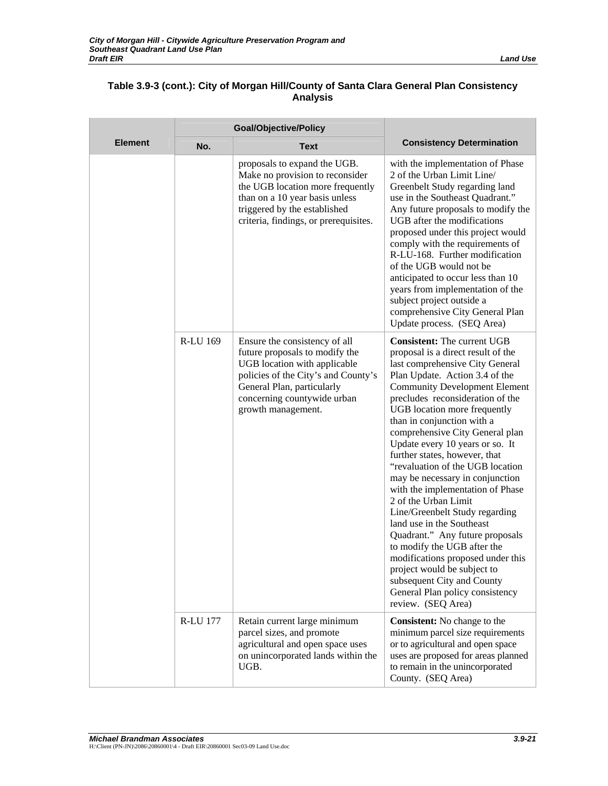Ē

|                | <b>Goal/Objective/Policy</b> |                                                                                                                                                                                                                           |                                                                                                                                                                                                                                                                                                                                                                                                                                                                                                                                                                                                                                                                                                                                                                                                                               |
|----------------|------------------------------|---------------------------------------------------------------------------------------------------------------------------------------------------------------------------------------------------------------------------|-------------------------------------------------------------------------------------------------------------------------------------------------------------------------------------------------------------------------------------------------------------------------------------------------------------------------------------------------------------------------------------------------------------------------------------------------------------------------------------------------------------------------------------------------------------------------------------------------------------------------------------------------------------------------------------------------------------------------------------------------------------------------------------------------------------------------------|
| <b>Element</b> | No.                          | <b>Text</b>                                                                                                                                                                                                               | <b>Consistency Determination</b>                                                                                                                                                                                                                                                                                                                                                                                                                                                                                                                                                                                                                                                                                                                                                                                              |
|                |                              | proposals to expand the UGB.<br>Make no provision to reconsider<br>the UGB location more frequently<br>than on a 10 year basis unless<br>triggered by the established<br>criteria, findings, or prerequisites.            | with the implementation of Phase<br>2 of the Urban Limit Line/<br>Greenbelt Study regarding land<br>use in the Southeast Quadrant."<br>Any future proposals to modify the<br>UGB after the modifications<br>proposed under this project would<br>comply with the requirements of<br>R-LU-168. Further modification<br>of the UGB would not be<br>anticipated to occur less than 10<br>years from implementation of the<br>subject project outside a<br>comprehensive City General Plan<br>Update process. (SEQ Area)                                                                                                                                                                                                                                                                                                          |
|                | <b>R-LU 169</b>              | Ensure the consistency of all<br>future proposals to modify the<br>UGB location with applicable<br>policies of the City's and County's<br>General Plan, particularly<br>concerning countywide urban<br>growth management. | <b>Consistent:</b> The current UGB<br>proposal is a direct result of the<br>last comprehensive City General<br>Plan Update. Action 3.4 of the<br><b>Community Development Element</b><br>precludes reconsideration of the<br>UGB location more frequently<br>than in conjunction with a<br>comprehensive City General plan<br>Update every 10 years or so. It<br>further states, however, that<br>"revaluation of the UGB location<br>may be necessary in conjunction<br>with the implementation of Phase<br>2 of the Urban Limit<br>Line/Greenbelt Study regarding<br>land use in the Southeast<br>Quadrant." Any future proposals<br>to modify the UGB after the<br>modifications proposed under this<br>project would be subject to<br>subsequent City and County<br>General Plan policy consistency<br>review. (SEQ Area) |
|                | <b>R-LU 177</b>              | Retain current large minimum<br>parcel sizes, and promote<br>agricultural and open space uses<br>on unincorporated lands within the<br>UGB.                                                                               | <b>Consistent:</b> No change to the<br>minimum parcel size requirements<br>or to agricultural and open space<br>uses are proposed for areas planned<br>to remain in the unincorporated<br>County. (SEQ Area)                                                                                                                                                                                                                                                                                                                                                                                                                                                                                                                                                                                                                  |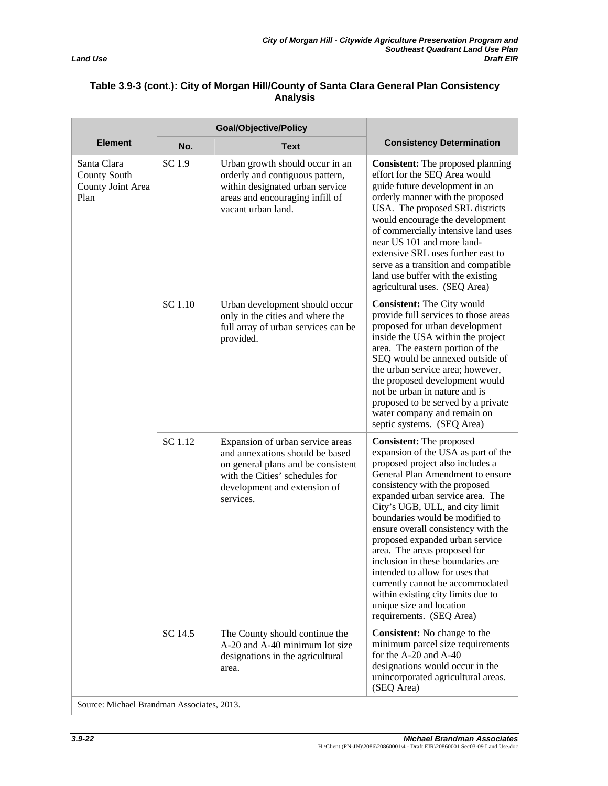|                                                                 | <b>Goal/Objective/Policy</b> |                                                                                                                                                                                          |                                                                                                                                                                                                                                                                                                                                                                                                                                                                                                                                                                                                               |
|-----------------------------------------------------------------|------------------------------|------------------------------------------------------------------------------------------------------------------------------------------------------------------------------------------|---------------------------------------------------------------------------------------------------------------------------------------------------------------------------------------------------------------------------------------------------------------------------------------------------------------------------------------------------------------------------------------------------------------------------------------------------------------------------------------------------------------------------------------------------------------------------------------------------------------|
| <b>Element</b>                                                  | No.                          | <b>Text</b>                                                                                                                                                                              | <b>Consistency Determination</b>                                                                                                                                                                                                                                                                                                                                                                                                                                                                                                                                                                              |
| Santa Clara<br><b>County South</b><br>County Joint Area<br>Plan | SC 1.9                       | Urban growth should occur in an<br>orderly and contiguous pattern,<br>within designated urban service<br>areas and encouraging infill of<br>vacant urban land.                           | <b>Consistent:</b> The proposed planning<br>effort for the SEQ Area would<br>guide future development in an<br>orderly manner with the proposed<br>USA. The proposed SRL districts<br>would encourage the development<br>of commercially intensive land uses<br>near US 101 and more land-<br>extensive SRL uses further east to<br>serve as a transition and compatible<br>land use buffer with the existing<br>agricultural uses. (SEQ Area)                                                                                                                                                                |
|                                                                 | SC 1.10                      | Urban development should occur<br>only in the cities and where the<br>full array of urban services can be<br>provided.                                                                   | <b>Consistent:</b> The City would<br>provide full services to those areas<br>proposed for urban development<br>inside the USA within the project<br>area. The eastern portion of the<br>SEQ would be annexed outside of<br>the urban service area; however,<br>the proposed development would<br>not be urban in nature and is<br>proposed to be served by a private<br>water company and remain on<br>septic systems. (SEQ Area)                                                                                                                                                                             |
|                                                                 | SC 1.12                      | Expansion of urban service areas<br>and annexations should be based<br>on general plans and be consistent<br>with the Cities' schedules for<br>development and extension of<br>services. | <b>Consistent:</b> The proposed<br>expansion of the USA as part of the<br>proposed project also includes a<br>General Plan Amendment to ensure<br>consistency with the proposed<br>expanded urban service area. The<br>City's UGB, ULL, and city limit<br>boundaries would be modified to<br>ensure overall consistency with the<br>proposed expanded urban service<br>area. The areas proposed for<br>inclusion in these boundaries are<br>intended to allow for uses that<br>currently cannot be accommodated<br>within existing city limits due to<br>unique size and location<br>requirements. (SEQ Area) |
|                                                                 | SC 14.5                      | The County should continue the<br>A-20 and A-40 minimum lot size<br>designations in the agricultural<br>area.                                                                            | <b>Consistent:</b> No change to the<br>minimum parcel size requirements<br>for the A-20 and A-40<br>designations would occur in the<br>unincorporated agricultural areas.<br>(SEQ Area)                                                                                                                                                                                                                                                                                                                                                                                                                       |

Source: Michael Brandman Associates, 2013.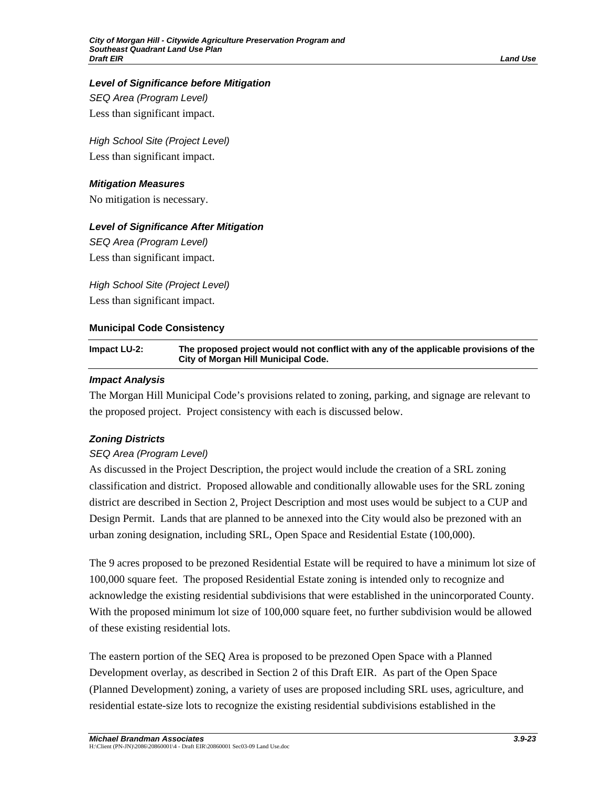# *Level of Significance before Mitigation*

*SEQ Area (Program Level)*  Less than significant impact.

*High School Site (Project Level)*  Less than significant impact.

### *Mitigation Measures*

No mitigation is necessary.

# *Level of Significance After Mitigation*

*SEQ Area (Program Level)*  Less than significant impact.

*High School Site (Project Level)*  Less than significant impact.

# **Municipal Code Consistency**

### **Impact LU-2: The proposed project would not conflict with any of the applicable provisions of the City of Morgan Hill Municipal Code.**

### *Impact Analysis*

The Morgan Hill Municipal Code's provisions related to zoning, parking, and signage are relevant to the proposed project. Project consistency with each is discussed below.

# *Zoning Districts*

# *SEQ Area (Program Level)*

As discussed in the Project Description, the project would include the creation of a SRL zoning classification and district. Proposed allowable and conditionally allowable uses for the SRL zoning district are described in Section 2, Project Description and most uses would be subject to a CUP and Design Permit. Lands that are planned to be annexed into the City would also be prezoned with an urban zoning designation, including SRL, Open Space and Residential Estate (100,000).

The 9 acres proposed to be prezoned Residential Estate will be required to have a minimum lot size of 100,000 square feet. The proposed Residential Estate zoning is intended only to recognize and acknowledge the existing residential subdivisions that were established in the unincorporated County. With the proposed minimum lot size of 100,000 square feet, no further subdivision would be allowed of these existing residential lots.

The eastern portion of the SEQ Area is proposed to be prezoned Open Space with a Planned Development overlay, as described in Section 2 of this Draft EIR. As part of the Open Space (Planned Development) zoning, a variety of uses are proposed including SRL uses, agriculture, and residential estate-size lots to recognize the existing residential subdivisions established in the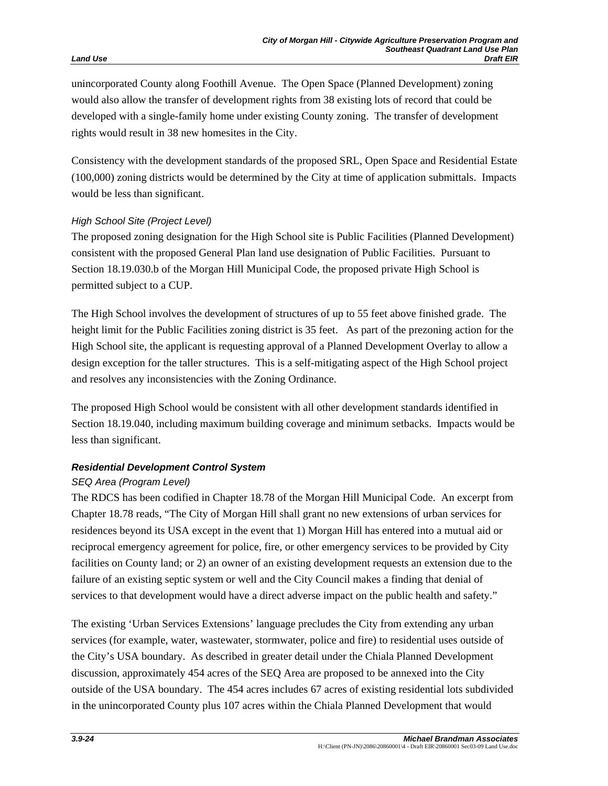unincorporated County along Foothill Avenue. The Open Space (Planned Development) zoning would also allow the transfer of development rights from 38 existing lots of record that could be developed with a single-family home under existing County zoning. The transfer of development rights would result in 38 new homesites in the City.

Consistency with the development standards of the proposed SRL, Open Space and Residential Estate (100,000) zoning districts would be determined by the City at time of application submittals. Impacts would be less than significant.

# *High School Site (Project Level)*

The proposed zoning designation for the High School site is Public Facilities (Planned Development) consistent with the proposed General Plan land use designation of Public Facilities. Pursuant to Section 18.19.030.b of the Morgan Hill Municipal Code, the proposed private High School is permitted subject to a CUP.

The High School involves the development of structures of up to 55 feet above finished grade. The height limit for the Public Facilities zoning district is 35 feet. As part of the prezoning action for the High School site, the applicant is requesting approval of a Planned Development Overlay to allow a design exception for the taller structures. This is a self-mitigating aspect of the High School project and resolves any inconsistencies with the Zoning Ordinance.

The proposed High School would be consistent with all other development standards identified in Section 18.19.040, including maximum building coverage and minimum setbacks. Impacts would be less than significant.

# *Residential Development Control System*

# *SEQ Area (Program Level)*

The RDCS has been codified in Chapter 18.78 of the Morgan Hill Municipal Code. An excerpt from Chapter 18.78 reads, "The City of Morgan Hill shall grant no new extensions of urban services for residences beyond its USA except in the event that 1) Morgan Hill has entered into a mutual aid or reciprocal emergency agreement for police, fire, or other emergency services to be provided by City facilities on County land; or 2) an owner of an existing development requests an extension due to the failure of an existing septic system or well and the City Council makes a finding that denial of services to that development would have a direct adverse impact on the public health and safety."

The existing 'Urban Services Extensions' language precludes the City from extending any urban services (for example, water, wastewater, stormwater, police and fire) to residential uses outside of the City's USA boundary. As described in greater detail under the Chiala Planned Development discussion, approximately 454 acres of the SEQ Area are proposed to be annexed into the City outside of the USA boundary. The 454 acres includes 67 acres of existing residential lots subdivided in the unincorporated County plus 107 acres within the Chiala Planned Development that would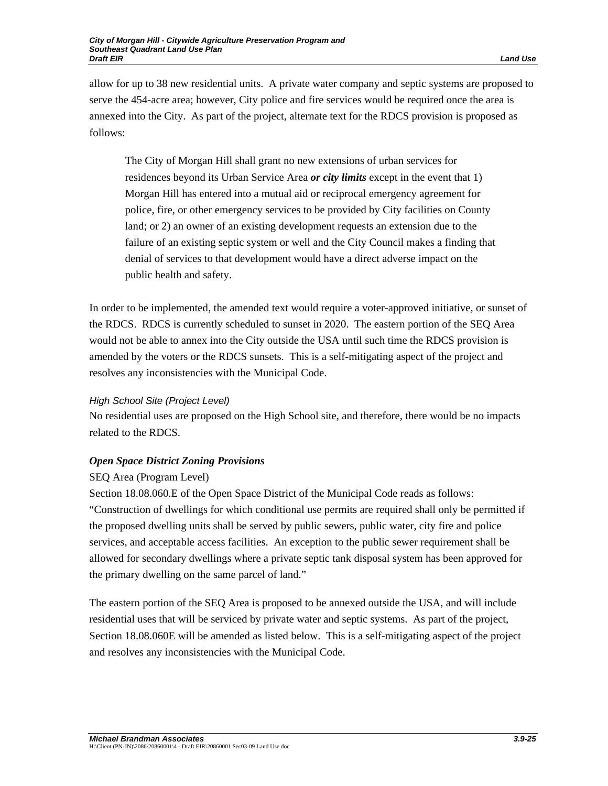allow for up to 38 new residential units. A private water company and septic systems are proposed to serve the 454-acre area; however, City police and fire services would be required once the area is annexed into the City. As part of the project, alternate text for the RDCS provision is proposed as follows:

The City of Morgan Hill shall grant no new extensions of urban services for residences beyond its Urban Service Area *or city limits* except in the event that 1) Morgan Hill has entered into a mutual aid or reciprocal emergency agreement for police, fire, or other emergency services to be provided by City facilities on County land; or 2) an owner of an existing development requests an extension due to the failure of an existing septic system or well and the City Council makes a finding that denial of services to that development would have a direct adverse impact on the public health and safety.

In order to be implemented, the amended text would require a voter-approved initiative, or sunset of the RDCS. RDCS is currently scheduled to sunset in 2020. The eastern portion of the SEQ Area would not be able to annex into the City outside the USA until such time the RDCS provision is amended by the voters or the RDCS sunsets. This is a self-mitigating aspect of the project and resolves any inconsistencies with the Municipal Code.

# *High School Site (Project Level)*

No residential uses are proposed on the High School site, and therefore, there would be no impacts related to the RDCS.

# *Open Space District Zoning Provisions*

# SEQ Area (Program Level)

Section 18.08.060.E of the Open Space District of the Municipal Code reads as follows: "Construction of dwellings for which conditional use permits are required shall only be permitted if the proposed dwelling units shall be served by public sewers, public water, city fire and police services, and acceptable access facilities. An exception to the public sewer requirement shall be allowed for secondary dwellings where a private septic tank disposal system has been approved for the primary dwelling on the same parcel of land."

The eastern portion of the SEQ Area is proposed to be annexed outside the USA, and will include residential uses that will be serviced by private water and septic systems. As part of the project, Section 18.08.060E will be amended as listed below. This is a self-mitigating aspect of the project and resolves any inconsistencies with the Municipal Code.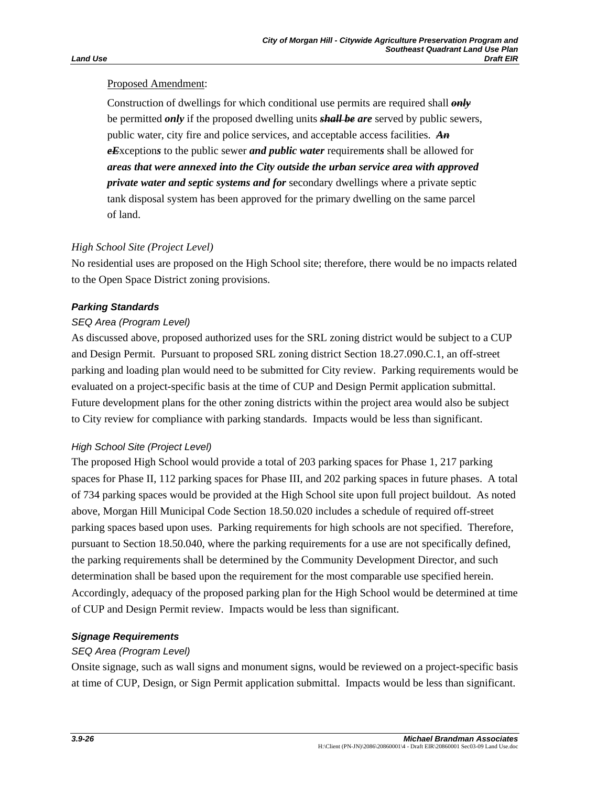# Proposed Amendment:

Construction of dwellings for which conditional use permits are required shall *only* be permitted *only* if the proposed dwelling units *shall be are* served by public sewers, public water, city fire and police services, and acceptable access facilities. *An eE*xception*s* to the public sewer *and public water* requirement*s* shall be allowed for *areas that were annexed into the City outside the urban service area with approved private water and septic systems and for* secondary dwellings where a private septic tank disposal system has been approved for the primary dwelling on the same parcel of land.

# *High School Site (Project Level)*

No residential uses are proposed on the High School site; therefore, there would be no impacts related to the Open Space District zoning provisions.

# *Parking Standards*

# *SEQ Area (Program Level)*

As discussed above, proposed authorized uses for the SRL zoning district would be subject to a CUP and Design Permit. Pursuant to proposed SRL zoning district Section 18.27.090.C.1, an off-street parking and loading plan would need to be submitted for City review. Parking requirements would be evaluated on a project-specific basis at the time of CUP and Design Permit application submittal. Future development plans for the other zoning districts within the project area would also be subject to City review for compliance with parking standards. Impacts would be less than significant.

# *High School Site (Project Level)*

The proposed High School would provide a total of 203 parking spaces for Phase 1, 217 parking spaces for Phase II, 112 parking spaces for Phase III, and 202 parking spaces in future phases. A total of 734 parking spaces would be provided at the High School site upon full project buildout. As noted above, Morgan Hill Municipal Code Section 18.50.020 includes a schedule of required off-street parking spaces based upon uses. Parking requirements for high schools are not specified. Therefore, pursuant to Section 18.50.040, where the parking requirements for a use are not specifically defined, the parking requirements shall be determined by the Community Development Director, and such determination shall be based upon the requirement for the most comparable use specified herein. Accordingly, adequacy of the proposed parking plan for the High School would be determined at time of CUP and Design Permit review. Impacts would be less than significant.

# *Signage Requirements*

# *SEQ Area (Program Level)*

Onsite signage, such as wall signs and monument signs, would be reviewed on a project-specific basis at time of CUP, Design, or Sign Permit application submittal. Impacts would be less than significant.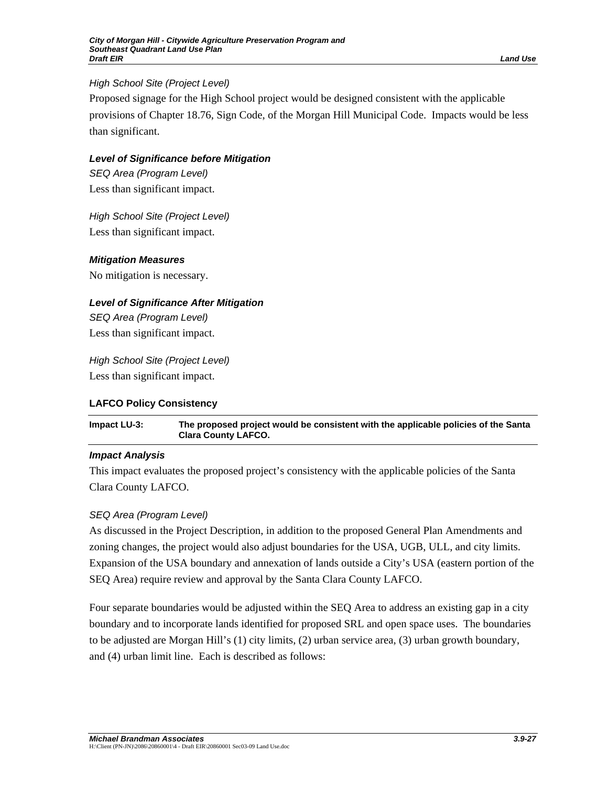# *High School Site (Project Level)*

Proposed signage for the High School project would be designed consistent with the applicable provisions of Chapter 18.76, Sign Code, of the Morgan Hill Municipal Code. Impacts would be less than significant.

# *Level of Significance before Mitigation*

*SEQ Area (Program Level)*  Less than significant impact.

*High School Site (Project Level)*  Less than significant impact.

# *Mitigation Measures*

No mitigation is necessary.

# *Level of Significance After Mitigation*

*SEQ Area (Program Level)*  Less than significant impact.

*High School Site (Project Level)*  Less than significant impact.

# **LAFCO Policy Consistency**

**Impact LU-3: The proposed project would be consistent with the applicable policies of the Santa Clara County LAFCO.** 

# *Impact Analysis*

This impact evaluates the proposed project's consistency with the applicable policies of the Santa Clara County LAFCO.

# *SEQ Area (Program Level)*

As discussed in the Project Description, in addition to the proposed General Plan Amendments and zoning changes, the project would also adjust boundaries for the USA, UGB, ULL, and city limits. Expansion of the USA boundary and annexation of lands outside a City's USA (eastern portion of the SEQ Area) require review and approval by the Santa Clara County LAFCO.

Four separate boundaries would be adjusted within the SEQ Area to address an existing gap in a city boundary and to incorporate lands identified for proposed SRL and open space uses. The boundaries to be adjusted are Morgan Hill's (1) city limits, (2) urban service area, (3) urban growth boundary, and (4) urban limit line. Each is described as follows: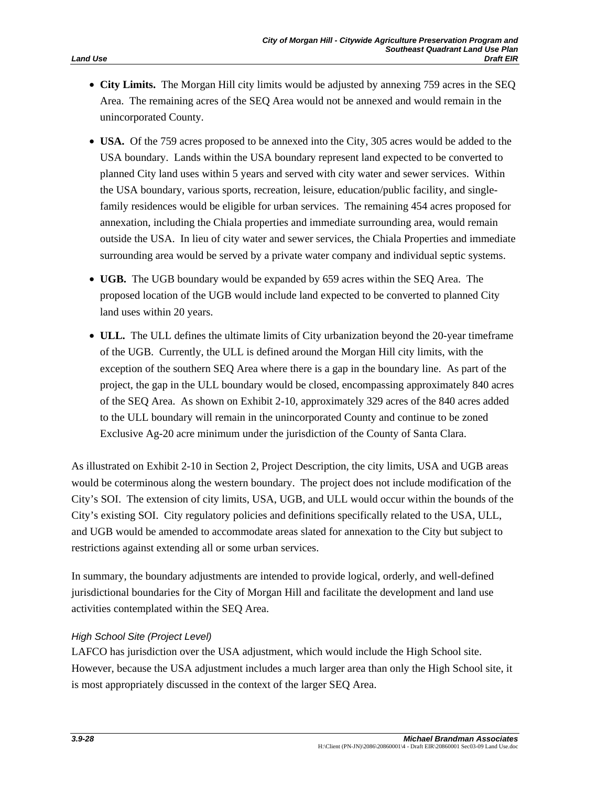- **City Limits.** The Morgan Hill city limits would be adjusted by annexing 759 acres in the SEQ Area. The remaining acres of the SEQ Area would not be annexed and would remain in the unincorporated County.
- **USA.** Of the 759 acres proposed to be annexed into the City, 305 acres would be added to the USA boundary. Lands within the USA boundary represent land expected to be converted to planned City land uses within 5 years and served with city water and sewer services. Within the USA boundary, various sports, recreation, leisure, education/public facility, and singlefamily residences would be eligible for urban services. The remaining 454 acres proposed for annexation, including the Chiala properties and immediate surrounding area, would remain outside the USA. In lieu of city water and sewer services, the Chiala Properties and immediate surrounding area would be served by a private water company and individual septic systems.
- **UGB.** The UGB boundary would be expanded by 659 acres within the SEQ Area. The proposed location of the UGB would include land expected to be converted to planned City land uses within 20 years.
- **ULL.** The ULL defines the ultimate limits of City urbanization beyond the 20-year timeframe of the UGB. Currently, the ULL is defined around the Morgan Hill city limits, with the exception of the southern SEQ Area where there is a gap in the boundary line. As part of the project, the gap in the ULL boundary would be closed, encompassing approximately 840 acres of the SEQ Area. As shown on Exhibit 2-10, approximately 329 acres of the 840 acres added to the ULL boundary will remain in the unincorporated County and continue to be zoned Exclusive Ag-20 acre minimum under the jurisdiction of the County of Santa Clara.

As illustrated on Exhibit 2-10 in Section 2, Project Description, the city limits, USA and UGB areas would be coterminous along the western boundary. The project does not include modification of the City's SOI. The extension of city limits, USA, UGB, and ULL would occur within the bounds of the City's existing SOI. City regulatory policies and definitions specifically related to the USA, ULL, and UGB would be amended to accommodate areas slated for annexation to the City but subject to restrictions against extending all or some urban services.

In summary, the boundary adjustments are intended to provide logical, orderly, and well-defined jurisdictional boundaries for the City of Morgan Hill and facilitate the development and land use activities contemplated within the SEQ Area.

#### *High School Site (Project Level)*

LAFCO has jurisdiction over the USA adjustment, which would include the High School site. However, because the USA adjustment includes a much larger area than only the High School site, it is most appropriately discussed in the context of the larger SEQ Area.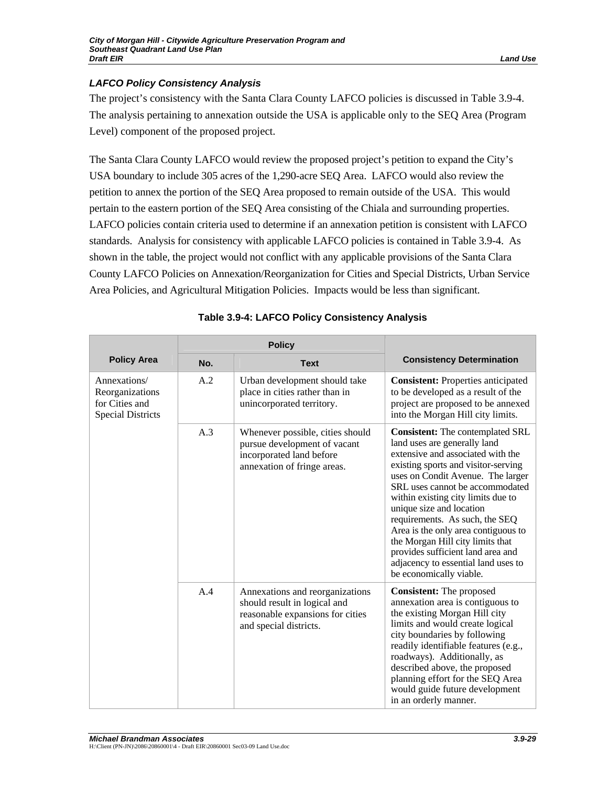# *LAFCO Policy Consistency Analysis*

The project's consistency with the Santa Clara County LAFCO policies is discussed in Table 3.9-4. The analysis pertaining to annexation outside the USA is applicable only to the SEQ Area (Program Level) component of the proposed project.

The Santa Clara County LAFCO would review the proposed project's petition to expand the City's USA boundary to include 305 acres of the 1,290-acre SEQ Area. LAFCO would also review the petition to annex the portion of the SEQ Area proposed to remain outside of the USA. This would pertain to the eastern portion of the SEQ Area consisting of the Chiala and surrounding properties. LAFCO policies contain criteria used to determine if an annexation petition is consistent with LAFCO standards. Analysis for consistency with applicable LAFCO policies is contained in Table 3.9-4. As shown in the table, the project would not conflict with any applicable provisions of the Santa Clara County LAFCO Policies on Annexation/Reorganization for Cities and Special Districts, Urban Service Area Policies, and Agricultural Mitigation Policies. Impacts would be less than significant.

|                                                                               | <b>Policy</b> |                                                                                                                               |                                                                                                                                                                                                                                                                                                                                                                                                                                                                                                                   |
|-------------------------------------------------------------------------------|---------------|-------------------------------------------------------------------------------------------------------------------------------|-------------------------------------------------------------------------------------------------------------------------------------------------------------------------------------------------------------------------------------------------------------------------------------------------------------------------------------------------------------------------------------------------------------------------------------------------------------------------------------------------------------------|
| <b>Policy Area</b>                                                            | No.           | <b>Text</b>                                                                                                                   | <b>Consistency Determination</b>                                                                                                                                                                                                                                                                                                                                                                                                                                                                                  |
| Annexations/<br>Reorganizations<br>for Cities and<br><b>Special Districts</b> | A.2           | Urban development should take<br>place in cities rather than in<br>unincorporated territory.                                  | <b>Consistent:</b> Properties anticipated<br>to be developed as a result of the<br>project are proposed to be annexed<br>into the Morgan Hill city limits.                                                                                                                                                                                                                                                                                                                                                        |
|                                                                               | A.3           | Whenever possible, cities should<br>pursue development of vacant<br>incorporated land before<br>annexation of fringe areas.   | <b>Consistent:</b> The contemplated SRL<br>land uses are generally land<br>extensive and associated with the<br>existing sports and visitor-serving<br>uses on Condit Avenue. The larger<br>SRL uses cannot be accommodated<br>within existing city limits due to<br>unique size and location<br>requirements. As such, the SEQ<br>Area is the only area contiguous to<br>the Morgan Hill city limits that<br>provides sufficient land area and<br>adjacency to essential land uses to<br>be economically viable. |
|                                                                               | A.4           | Annexations and reorganizations<br>should result in logical and<br>reasonable expansions for cities<br>and special districts. | <b>Consistent:</b> The proposed<br>annexation area is contiguous to<br>the existing Morgan Hill city<br>limits and would create logical<br>city boundaries by following<br>readily identifiable features (e.g.,<br>roadways). Additionally, as<br>described above, the proposed<br>planning effort for the SEQ Area<br>would guide future development<br>in an orderly manner.                                                                                                                                    |

# **Table 3.9-4: LAFCO Policy Consistency Analysis**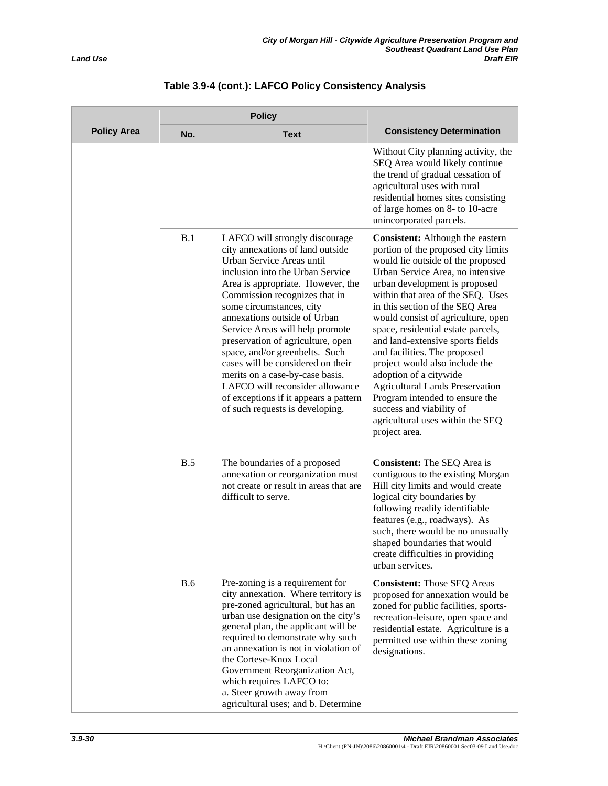|                    | <b>Policy</b> |                                                                                                                                                                                                                                                                                                                                                                                                                                                                                                                                                                        |                                                                                                                                                                                                                                                                                                                                                                                                                                                                                                                                                                                                                                           |
|--------------------|---------------|------------------------------------------------------------------------------------------------------------------------------------------------------------------------------------------------------------------------------------------------------------------------------------------------------------------------------------------------------------------------------------------------------------------------------------------------------------------------------------------------------------------------------------------------------------------------|-------------------------------------------------------------------------------------------------------------------------------------------------------------------------------------------------------------------------------------------------------------------------------------------------------------------------------------------------------------------------------------------------------------------------------------------------------------------------------------------------------------------------------------------------------------------------------------------------------------------------------------------|
| <b>Policy Area</b> | No.           | <b>Text</b>                                                                                                                                                                                                                                                                                                                                                                                                                                                                                                                                                            | <b>Consistency Determination</b>                                                                                                                                                                                                                                                                                                                                                                                                                                                                                                                                                                                                          |
|                    |               |                                                                                                                                                                                                                                                                                                                                                                                                                                                                                                                                                                        | Without City planning activity, the<br>SEQ Area would likely continue<br>the trend of gradual cessation of<br>agricultural uses with rural<br>residential homes sites consisting<br>of large homes on 8- to 10-acre<br>unincorporated parcels.                                                                                                                                                                                                                                                                                                                                                                                            |
|                    | B.1           | LAFCO will strongly discourage<br>city annexations of land outside<br>Urban Service Areas until<br>inclusion into the Urban Service<br>Area is appropriate. However, the<br>Commission recognizes that in<br>some circumstances, city<br>annexations outside of Urban<br>Service Areas will help promote<br>preservation of agriculture, open<br>space, and/or greenbelts. Such<br>cases will be considered on their<br>merits on a case-by-case basis.<br>LAFCO will reconsider allowance<br>of exceptions if it appears a pattern<br>of such requests is developing. | <b>Consistent:</b> Although the eastern<br>portion of the proposed city limits<br>would lie outside of the proposed<br>Urban Service Area, no intensive<br>urban development is proposed<br>within that area of the SEQ. Uses<br>in this section of the SEQ Area<br>would consist of agriculture, open<br>space, residential estate parcels,<br>and land-extensive sports fields<br>and facilities. The proposed<br>project would also include the<br>adoption of a citywide<br><b>Agricultural Lands Preservation</b><br>Program intended to ensure the<br>success and viability of<br>agricultural uses within the SEQ<br>project area. |
|                    | B.5           | The boundaries of a proposed<br>annexation or reorganization must<br>not create or result in areas that are<br>difficult to serve.                                                                                                                                                                                                                                                                                                                                                                                                                                     | Consistent: The SEQ Area is<br>contiguous to the existing Morgan<br>Hill city limits and would create<br>logical city boundaries by<br>following readily identifiable<br>features (e.g., roadways). As<br>such, there would be no unusually<br>shaped boundaries that would<br>create difficulties in providing<br>urban services.                                                                                                                                                                                                                                                                                                        |
|                    | <b>B.6</b>    | Pre-zoning is a requirement for<br>city annexation. Where territory is<br>pre-zoned agricultural, but has an<br>urban use designation on the city's<br>general plan, the applicant will be<br>required to demonstrate why such<br>an annexation is not in violation of<br>the Cortese-Knox Local<br>Government Reorganization Act,<br>which requires LAFCO to:<br>a. Steer growth away from<br>agricultural uses; and b. Determine                                                                                                                                     | <b>Consistent:</b> Those SEQ Areas<br>proposed for annexation would be<br>zoned for public facilities, sports-<br>recreation-leisure, open space and<br>residential estate. Agriculture is a<br>permitted use within these zoning<br>designations.                                                                                                                                                                                                                                                                                                                                                                                        |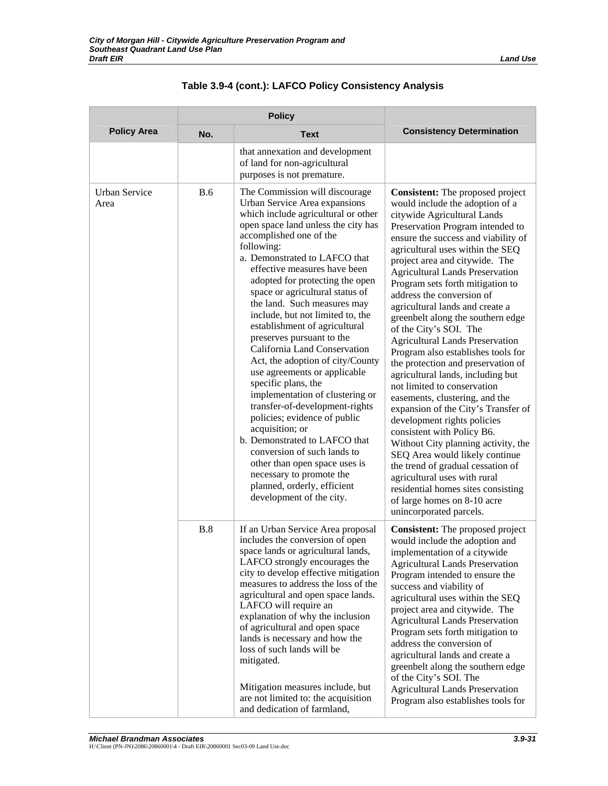|                                                                                                                                                                                                                                                                                                                                                                                                                                                                                                                                                                                                                                                                                                                                                                                                                                                                                                                                                         | <b>Policy</b>                                                                                                                                                                                                                                                                                                                                                                                                                                                                                                                                                                                                                                                                                                                                                                                                                                                                                                                                                                                                                                         |                                                                                                                                                                                                                                                                                                                                                                                                                                                                                                                                                         |                                                                                                                                                                                                                                                                                                                                                                                                                                                                                                                                                                                      |
|---------------------------------------------------------------------------------------------------------------------------------------------------------------------------------------------------------------------------------------------------------------------------------------------------------------------------------------------------------------------------------------------------------------------------------------------------------------------------------------------------------------------------------------------------------------------------------------------------------------------------------------------------------------------------------------------------------------------------------------------------------------------------------------------------------------------------------------------------------------------------------------------------------------------------------------------------------|-------------------------------------------------------------------------------------------------------------------------------------------------------------------------------------------------------------------------------------------------------------------------------------------------------------------------------------------------------------------------------------------------------------------------------------------------------------------------------------------------------------------------------------------------------------------------------------------------------------------------------------------------------------------------------------------------------------------------------------------------------------------------------------------------------------------------------------------------------------------------------------------------------------------------------------------------------------------------------------------------------------------------------------------------------|---------------------------------------------------------------------------------------------------------------------------------------------------------------------------------------------------------------------------------------------------------------------------------------------------------------------------------------------------------------------------------------------------------------------------------------------------------------------------------------------------------------------------------------------------------|--------------------------------------------------------------------------------------------------------------------------------------------------------------------------------------------------------------------------------------------------------------------------------------------------------------------------------------------------------------------------------------------------------------------------------------------------------------------------------------------------------------------------------------------------------------------------------------|
| <b>Policy Area</b>                                                                                                                                                                                                                                                                                                                                                                                                                                                                                                                                                                                                                                                                                                                                                                                                                                                                                                                                      | No.                                                                                                                                                                                                                                                                                                                                                                                                                                                                                                                                                                                                                                                                                                                                                                                                                                                                                                                                                                                                                                                   | <b>Text</b>                                                                                                                                                                                                                                                                                                                                                                                                                                                                                                                                             | <b>Consistency Determination</b>                                                                                                                                                                                                                                                                                                                                                                                                                                                                                                                                                     |
|                                                                                                                                                                                                                                                                                                                                                                                                                                                                                                                                                                                                                                                                                                                                                                                                                                                                                                                                                         |                                                                                                                                                                                                                                                                                                                                                                                                                                                                                                                                                                                                                                                                                                                                                                                                                                                                                                                                                                                                                                                       | that annexation and development<br>of land for non-agricultural<br>purposes is not premature.                                                                                                                                                                                                                                                                                                                                                                                                                                                           |                                                                                                                                                                                                                                                                                                                                                                                                                                                                                                                                                                                      |
| <b>Urban Service</b><br><b>B.6</b><br>The Commission will discourage<br>Urban Service Area expansions<br>Area<br>which include agricultural or other<br>open space land unless the city has<br>accomplished one of the<br>following:<br>a. Demonstrated to LAFCO that<br>effective measures have been<br>adopted for protecting the open<br>space or agricultural status of<br>the land. Such measures may<br>include, but not limited to, the<br>establishment of agricultural<br>preserves pursuant to the<br>California Land Conservation<br>Act, the adoption of city/County<br>use agreements or applicable<br>specific plans, the<br>implementation of clustering or<br>transfer-of-development-rights<br>policies; evidence of public<br>acquisition; or<br>b. Demonstrated to LAFCO that<br>conversion of such lands to<br>other than open space uses is<br>necessary to promote the<br>planned, orderly, efficient<br>development of the city. | <b>Consistent:</b> The proposed project<br>would include the adoption of a<br>citywide Agricultural Lands<br>Preservation Program intended to<br>ensure the success and viability of<br>agricultural uses within the SEQ<br>project area and citywide. The<br><b>Agricultural Lands Preservation</b><br>Program sets forth mitigation to<br>address the conversion of<br>agricultural lands and create a<br>greenbelt along the southern edge<br>of the City's SOI. The<br><b>Agricultural Lands Preservation</b><br>Program also establishes tools for<br>the protection and preservation of<br>agricultural lands, including but<br>not limited to conservation<br>easements, clustering, and the<br>expansion of the City's Transfer of<br>development rights policies<br>consistent with Policy B6.<br>Without City planning activity, the<br>SEQ Area would likely continue<br>the trend of gradual cessation of<br>agricultural uses with rural<br>residential homes sites consisting<br>of large homes on 8-10 acre<br>unincorporated parcels. |                                                                                                                                                                                                                                                                                                                                                                                                                                                                                                                                                         |                                                                                                                                                                                                                                                                                                                                                                                                                                                                                                                                                                                      |
|                                                                                                                                                                                                                                                                                                                                                                                                                                                                                                                                                                                                                                                                                                                                                                                                                                                                                                                                                         | B.8                                                                                                                                                                                                                                                                                                                                                                                                                                                                                                                                                                                                                                                                                                                                                                                                                                                                                                                                                                                                                                                   | If an Urban Service Area proposal<br>includes the conversion of open<br>space lands or agricultural lands,<br>LAFCO strongly encourages the<br>city to develop effective mitigation<br>measures to address the loss of the<br>agricultural and open space lands.<br>LAFCO will require an<br>explanation of why the inclusion<br>of agricultural and open space<br>lands is necessary and how the<br>loss of such lands will be<br>mitigated.<br>Mitigation measures include, but<br>are not limited to: the acquisition<br>and dedication of farmland, | <b>Consistent:</b> The proposed project<br>would include the adoption and<br>implementation of a citywide<br><b>Agricultural Lands Preservation</b><br>Program intended to ensure the<br>success and viability of<br>agricultural uses within the SEQ<br>project area and citywide. The<br><b>Agricultural Lands Preservation</b><br>Program sets forth mitigation to<br>address the conversion of<br>agricultural lands and create a<br>greenbelt along the southern edge<br>of the City's SOI. The<br><b>Agricultural Lands Preservation</b><br>Program also establishes tools for |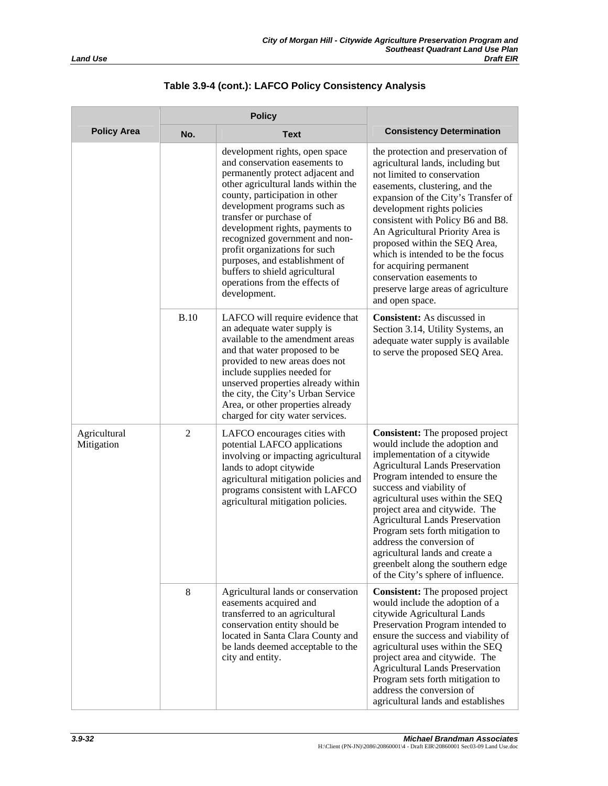| <b>Land Use</b> |  |
|-----------------|--|

|                            |              | development rights, open space<br>and conservation easements to<br>permanently protect adjacent and<br>other agricultural lands within the<br>county, participation in other<br>development programs such as<br>transfer or purchase of<br>development rights, payments to<br>recognized government and non-<br>profit organizations for such<br>purposes, and establishment of<br>buffers to shield agricultural<br>operations from the effects of<br>development. | the protection and preservation of<br>agricultural lands, including but<br>not limited to conservation<br>easements, clustering, and the<br>expansion of the City's Transfer of<br>development rights policies<br>consistent with Policy B6 and B8.<br>An Agricultural Priority Area is<br>proposed within the SEQ Area,<br>which is intended to be the focus<br>for acquiring permanent<br>conservation easements to<br>preserve large areas of agriculture<br>and open space.                                  |
|----------------------------|--------------|---------------------------------------------------------------------------------------------------------------------------------------------------------------------------------------------------------------------------------------------------------------------------------------------------------------------------------------------------------------------------------------------------------------------------------------------------------------------|------------------------------------------------------------------------------------------------------------------------------------------------------------------------------------------------------------------------------------------------------------------------------------------------------------------------------------------------------------------------------------------------------------------------------------------------------------------------------------------------------------------|
|                            | <b>B.10</b>  | LAFCO will require evidence that<br>an adequate water supply is<br>available to the amendment areas<br>and that water proposed to be<br>provided to new areas does not<br>include supplies needed for<br>unserved properties already within<br>the city, the City's Urban Service<br>Area, or other properties already<br>charged for city water services.                                                                                                          | Consistent: As discussed in<br>Section 3.14, Utility Systems, an<br>adequate water supply is available<br>to serve the proposed SEQ Area.                                                                                                                                                                                                                                                                                                                                                                        |
| Agricultural<br>Mitigation | $\mathbf{2}$ | LAFCO encourages cities with<br>potential LAFCO applications<br>involving or impacting agricultural<br>lands to adopt citywide<br>agricultural mitigation policies and<br>programs consistent with LAFCO<br>agricultural mitigation policies.                                                                                                                                                                                                                       | <b>Consistent:</b> The proposed project<br>would include the adoption and<br>implementation of a citywide<br><b>Agricultural Lands Preservation</b><br>Program intended to ensure the<br>success and viability of<br>agricultural uses within the SEQ<br>project area and citywide. The<br><b>Agricultural Lands Preservation</b><br>Program sets forth mitigation to<br>address the conversion of<br>agricultural lands and create a<br>greenbelt along the southern edge<br>of the City's sphere of influence. |
|                            | 8            | Agricultural lands or conservation<br>easements acquired and<br>transferred to an agricultural<br>conservation entity should be<br>located in Santa Clara County and<br>be lands deemed acceptable to the<br>city and entity.                                                                                                                                                                                                                                       | Consistent: The proposed project<br>would include the adoption of a<br>citywide Agricultural Lands<br>Preservation Program intended to<br>ensure the success and viability of<br>agricultural uses within the SEQ<br>project area and citywide. The<br><b>Agricultural Lands Preservation</b><br>Program sets forth mitigation to                                                                                                                                                                                |

**Policy Area** No. No. Text **Consistency Determination** 

**Policy** 

address the conversion of agricultural lands and establishes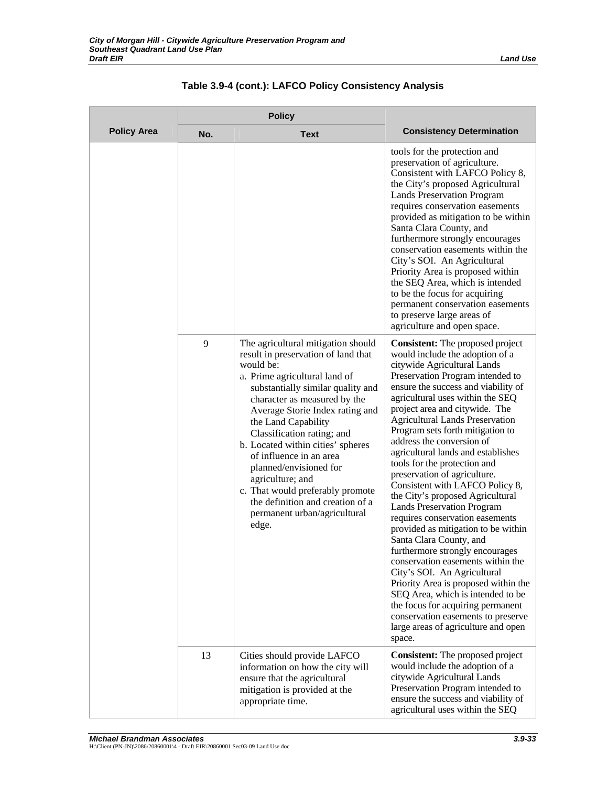|                    | <b>Policy</b> |                                                                                                                                                                                                                                                                                                                                                                                                                                                                                                                     |                                                                                                                                                                                                                                                                                                                                                                                                                                                                                                                                                                                                                                                                                                                                                                                                                                                                                                                                                                                                              |
|--------------------|---------------|---------------------------------------------------------------------------------------------------------------------------------------------------------------------------------------------------------------------------------------------------------------------------------------------------------------------------------------------------------------------------------------------------------------------------------------------------------------------------------------------------------------------|--------------------------------------------------------------------------------------------------------------------------------------------------------------------------------------------------------------------------------------------------------------------------------------------------------------------------------------------------------------------------------------------------------------------------------------------------------------------------------------------------------------------------------------------------------------------------------------------------------------------------------------------------------------------------------------------------------------------------------------------------------------------------------------------------------------------------------------------------------------------------------------------------------------------------------------------------------------------------------------------------------------|
| <b>Policy Area</b> | No.           | <b>Text</b>                                                                                                                                                                                                                                                                                                                                                                                                                                                                                                         | <b>Consistency Determination</b>                                                                                                                                                                                                                                                                                                                                                                                                                                                                                                                                                                                                                                                                                                                                                                                                                                                                                                                                                                             |
|                    |               |                                                                                                                                                                                                                                                                                                                                                                                                                                                                                                                     | tools for the protection and<br>preservation of agriculture.<br>Consistent with LAFCO Policy 8,<br>the City's proposed Agricultural<br><b>Lands Preservation Program</b><br>requires conservation easements<br>provided as mitigation to be within<br>Santa Clara County, and<br>furthermore strongly encourages<br>conservation easements within the<br>City's SOI. An Agricultural<br>Priority Area is proposed within<br>the SEQ Area, which is intended<br>to be the focus for acquiring<br>permanent conservation easements<br>to preserve large areas of<br>agriculture and open space.                                                                                                                                                                                                                                                                                                                                                                                                                |
|                    | 9             | The agricultural mitigation should<br>result in preservation of land that<br>would be:<br>a. Prime agricultural land of<br>substantially similar quality and<br>character as measured by the<br>Average Storie Index rating and<br>the Land Capability<br>Classification rating; and<br>b. Located within cities' spheres<br>of influence in an area<br>planned/envisioned for<br>agriculture; and<br>c. That would preferably promote<br>the definition and creation of a<br>permanent urban/agricultural<br>edge. | <b>Consistent:</b> The proposed project<br>would include the adoption of a<br>citywide Agricultural Lands<br>Preservation Program intended to<br>ensure the success and viability of<br>agricultural uses within the SEQ<br>project area and citywide. The<br><b>Agricultural Lands Preservation</b><br>Program sets forth mitigation to<br>address the conversion of<br>agricultural lands and establishes<br>tools for the protection and<br>preservation of agriculture.<br>Consistent with LAFCO Policy 8,<br>the City's proposed Agricultural<br><b>Lands Preservation Program</b><br>requires conservation easements<br>provided as mitigation to be within<br>Santa Clara County, and<br>furthermore strongly encourages<br>conservation easements within the<br>City's SOI. An Agricultural<br>Priority Area is proposed within the<br>SEQ Area, which is intended to be<br>the focus for acquiring permanent<br>conservation easements to preserve<br>large areas of agriculture and open<br>space. |
|                    | 13            | Cities should provide LAFCO<br>information on how the city will<br>ensure that the agricultural<br>mitigation is provided at the<br>appropriate time.                                                                                                                                                                                                                                                                                                                                                               | <b>Consistent:</b> The proposed project<br>would include the adoption of a<br>citywide Agricultural Lands<br>Preservation Program intended to<br>ensure the success and viability of<br>agricultural uses within the SEQ                                                                                                                                                                                                                                                                                                                                                                                                                                                                                                                                                                                                                                                                                                                                                                                     |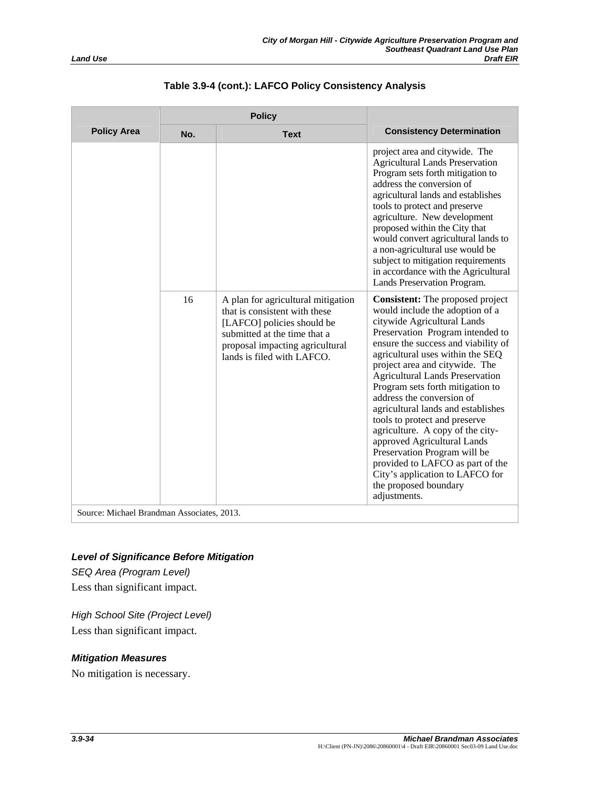|                    | <b>Policy</b> |                                                                                                                                                                                                    |                                                                                                                                                                                                                                                                                                                                                                                                                                                                                                                                                                                                                                                                 |
|--------------------|---------------|----------------------------------------------------------------------------------------------------------------------------------------------------------------------------------------------------|-----------------------------------------------------------------------------------------------------------------------------------------------------------------------------------------------------------------------------------------------------------------------------------------------------------------------------------------------------------------------------------------------------------------------------------------------------------------------------------------------------------------------------------------------------------------------------------------------------------------------------------------------------------------|
| <b>Policy Area</b> | No.           | <b>Text</b>                                                                                                                                                                                        | <b>Consistency Determination</b>                                                                                                                                                                                                                                                                                                                                                                                                                                                                                                                                                                                                                                |
|                    |               |                                                                                                                                                                                                    | project area and citywide. The<br><b>Agricultural Lands Preservation</b><br>Program sets forth mitigation to<br>address the conversion of<br>agricultural lands and establishes<br>tools to protect and preserve<br>agriculture. New development<br>proposed within the City that<br>would convert agricultural lands to<br>a non-agricultural use would be<br>subject to mitigation requirements<br>in accordance with the Agricultural<br>Lands Preservation Program.                                                                                                                                                                                         |
|                    | 16            | A plan for agricultural mitigation<br>that is consistent with these<br>[LAFCO] policies should be<br>submitted at the time that a<br>proposal impacting agricultural<br>lands is filed with LAFCO. | <b>Consistent:</b> The proposed project<br>would include the adoption of a<br>citywide Agricultural Lands<br>Preservation Program intended to<br>ensure the success and viability of<br>agricultural uses within the SEQ<br>project area and citywide. The<br><b>Agricultural Lands Preservation</b><br>Program sets forth mitigation to<br>address the conversion of<br>agricultural lands and establishes<br>tools to protect and preserve<br>agriculture. A copy of the city-<br>approved Agricultural Lands<br>Preservation Program will be<br>provided to LAFCO as part of the<br>City's application to LAFCO for<br>the proposed boundary<br>adjustments. |

Source: Michael Brandman Associates, 2013.

# *Level of Significance Before Mitigation*

*SEQ Area (Program Level)*  Less than significant impact.

*High School Site (Project Level)*  Less than significant impact.

# *Mitigation Measures*

No mitigation is necessary.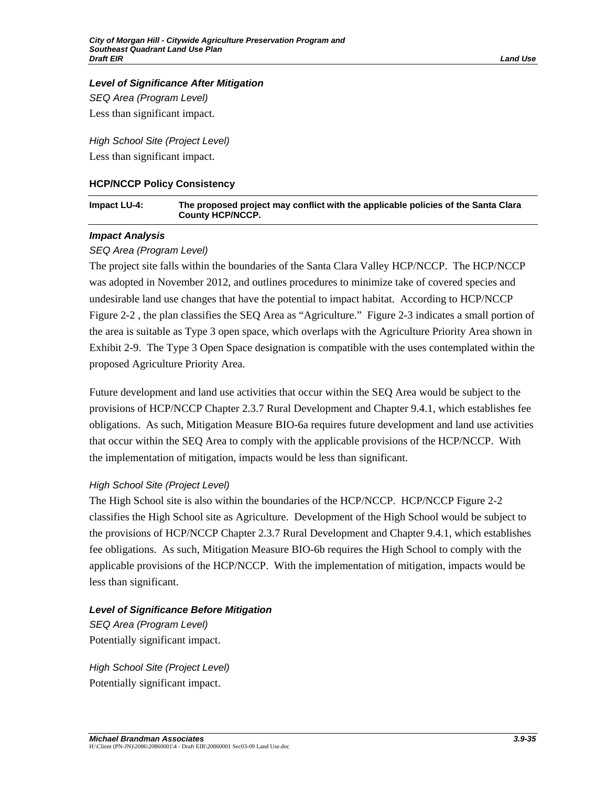### *Level of Significance After Mitigation*

*SEQ Area (Program Level)*  Less than significant impact.

*High School Site (Project Level)*  Less than significant impact.

### **HCP/NCCP Policy Consistency**

| Impact LU-4: | The proposed project may conflict with the applicable policies of the Santa Clara |
|--------------|-----------------------------------------------------------------------------------|
|              | <b>County HCP/NCCP.</b>                                                           |

### *Impact Analysis*

# *SEQ Area (Program Level)*

The project site falls within the boundaries of the Santa Clara Valley HCP/NCCP. The HCP/NCCP was adopted in November 2012, and outlines procedures to minimize take of covered species and undesirable land use changes that have the potential to impact habitat. According to HCP/NCCP Figure 2-2 , the plan classifies the SEQ Area as "Agriculture." Figure 2-3 indicates a small portion of the area is suitable as Type 3 open space, which overlaps with the Agriculture Priority Area shown in Exhibit 2-9. The Type 3 Open Space designation is compatible with the uses contemplated within the proposed Agriculture Priority Area.

Future development and land use activities that occur within the SEQ Area would be subject to the provisions of HCP/NCCP Chapter 2.3.7 Rural Development and Chapter 9.4.1, which establishes fee obligations. As such, Mitigation Measure BIO-6a requires future development and land use activities that occur within the SEQ Area to comply with the applicable provisions of the HCP/NCCP. With the implementation of mitigation, impacts would be less than significant.

# *High School Site (Project Level)*

The High School site is also within the boundaries of the HCP/NCCP. HCP/NCCP Figure 2-2 classifies the High School site as Agriculture. Development of the High School would be subject to the provisions of HCP/NCCP Chapter 2.3.7 Rural Development and Chapter 9.4.1, which establishes fee obligations. As such, Mitigation Measure BIO-6b requires the High School to comply with the applicable provisions of the HCP/NCCP. With the implementation of mitigation, impacts would be less than significant.

# *Level of Significance Before Mitigation*

*SEQ Area (Program Level)*  Potentially significant impact.

*High School Site (Project Level)*  Potentially significant impact.